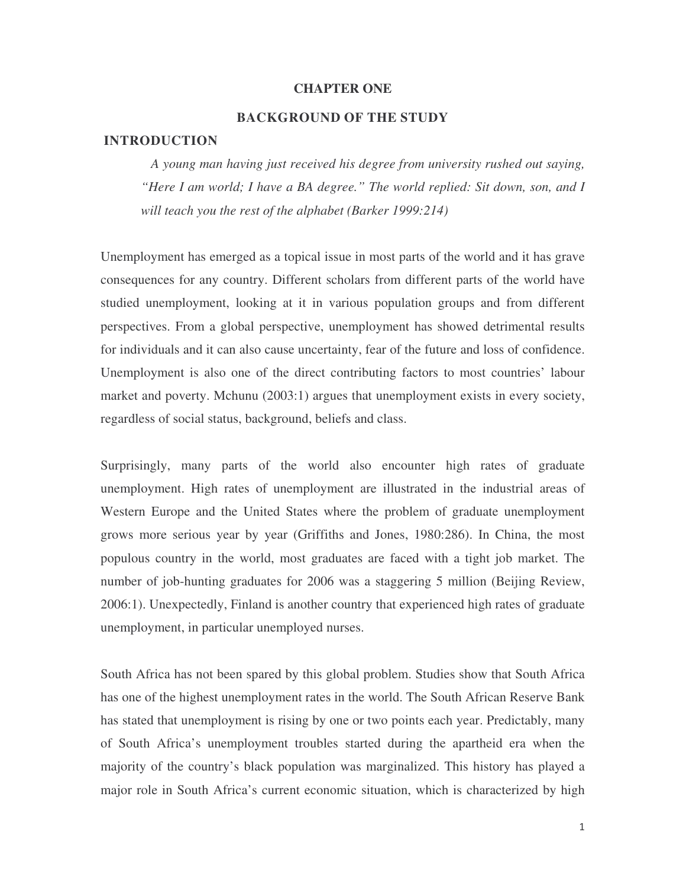#### **CHAPTER ONE**

# **BACKGROUND OF THE STUDY**

#### **INTRODUCTION**

*A young man having just received his degree from university rushed out saying, "Here I am world; I have a BA degree." The world replied: Sit down, son, and I will teach you the rest of the alphabet (Barker 1999:214)*

Unemployment has emerged as a topical issue in most parts of the world and it has grave consequences for any country. Different scholars from different parts of the world have studied unemployment, looking at it in various population groups and from different perspectives. From a global perspective, unemployment has showed detrimental results for individuals and it can also cause uncertainty, fear of the future and loss of confidence. Unemployment is also one of the direct contributing factors to most countries' labour market and poverty. Mchunu (2003:1) argues that unemployment exists in every society, regardless of social status, background, beliefs and class.

Surprisingly, many parts of the world also encounter high rates of graduate unemployment. High rates of unemployment are illustrated in the industrial areas of Western Europe and the United States where the problem of graduate unemployment grows more serious year by year (Griffiths and Jones, 1980:286). In China, the most populous country in the world, most graduates are faced with a tight job market. The number of job-hunting graduates for 2006 was a staggering 5 million (Beijing Review, 2006:1). Unexpectedly, Finland is another country that experienced high rates of graduate unemployment, in particular unemployed nurses.

South Africa has not been spared by this global problem. Studies show that South Africa has one of the highest unemployment rates in the world. The South African Reserve Bank has stated that unemployment is rising by one or two points each year. Predictably, many of South Africa's unemployment troubles started during the apartheid era when the majority of the country's black population was marginalized. This history has played a major role in South Africa's current economic situation, which is characterized by high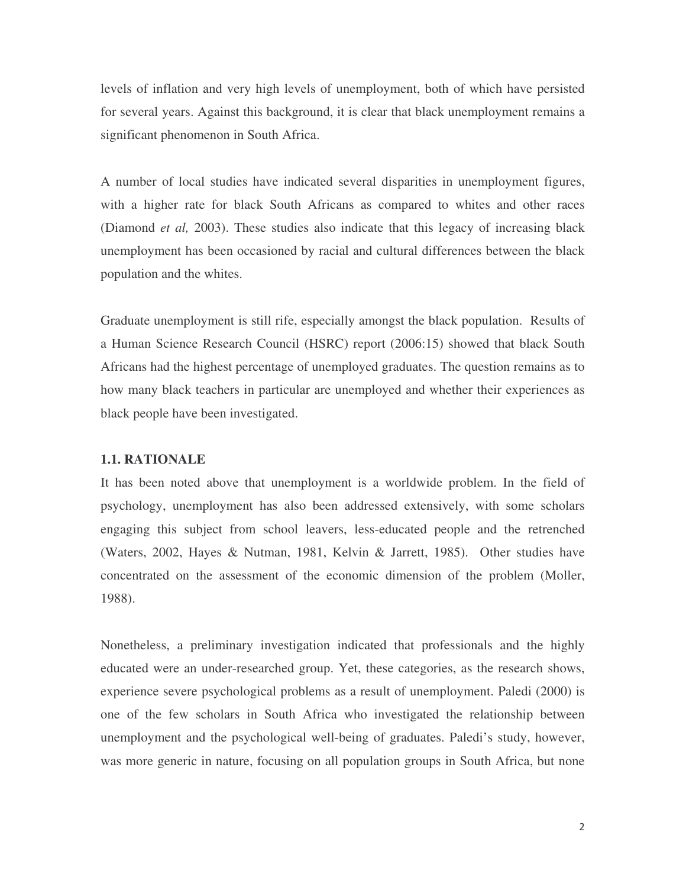for several years. Against this background, it is clear that black unemployment remains a significant phenomenon in South Africa.

A number of local studies have indicated several disparities in unemployment figures, with a higher rate for black South Africans as compared to whites and other races (Diamond *et al,* 2003). These studies also indicate that this legacy of increasing black unemployment has been occasioned by racial and cultural differences between the black population and the whites.

Graduate unemployment is still rife, especially amongst the black population. Results of a Human Science Research Council (HSRC) report (2006:15) showed that black South Africans had the highest percentage of unemployed graduates. The question remains as to how many black teachers in particular are unemployed and whether their experiences as black people have been investigated.

# **1.1. RATIONALE**

It has been noted above that unemployment is a worldwide problem. In the field of psychology, unemployment has also been addressed extensively, with some scholars engaging this subject from school leavers, less-educated people and the retrenched (Waters, 2002, Hayes & Nutman, 1981, Kelvin & Jarrett, 1985). Other studies have concentrated on the assessment of the economic dimension of the problem (Moller, 1988).

levels of inflation and very high levels of unemployment, both of which have persisted<br>or several years. Against hits background, it is clear that black unemployment remains a<br>significant phenomenon in South Africa,<br>and is Nonetheless, a preliminary investigation indicated that professionals and the highly educated were an under-researched group. Yet, these categories, as the research shows, experience severe psychological problems as a result of unemployment. Paledi (2000) is one of the few scholars in South Africa who investigated the relationship between unemployment and the psychological well-being of graduates. Paledi's study, however, was more generic in nature, focusing on all population groups in South Africa, but none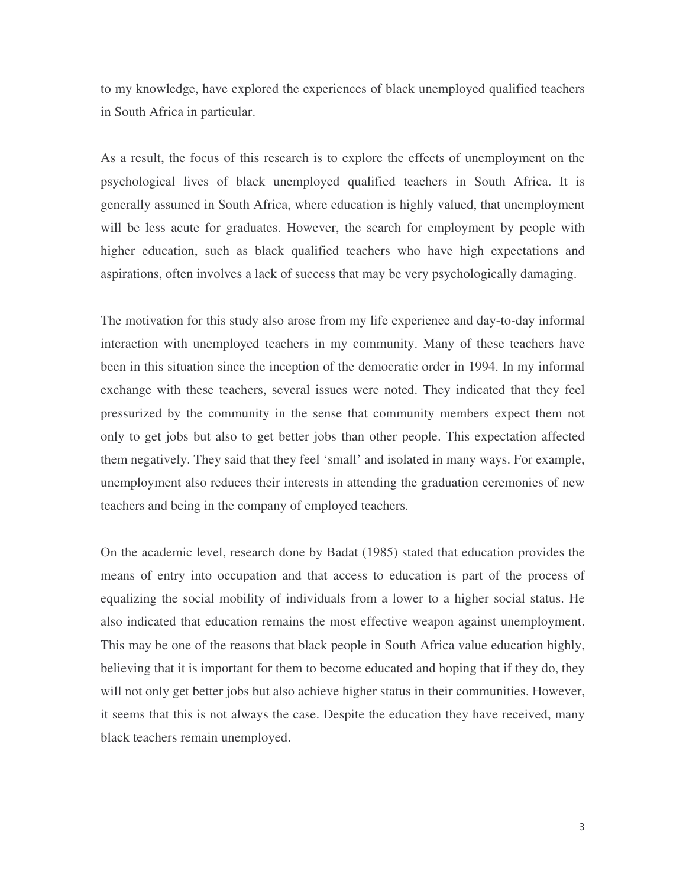to my knowledge, have explored the experiences of black unemployed qualified teachers in South Africa in particular.

As a result, the focus of this research is to explore the effects of unemployment on the psychological lives of black unemployed qualified teachers in South Africa. It is generally assumed in South Africa, where education is highly valued, that unemployment will be less acute for graduates. However, the search for employment by people with higher education, such as black qualified teachers who have high expectations and aspirations, often involves a lack of success that may be very psychologically damaging.

The motivation for this study also arose from my life experience and day-to-day informal interaction with unemployed teachers in my community. Many of these teachers have been in this situation since the inception of the democratic order in 1994. In my informal exchange with these teachers, several issues were noted. They indicated that they feel pressurized by the community in the sense that community members expect them not only to get jobs but also to get better jobs than other people. This expectation affected them negatively. They said that they feel 'small' and isolated in many ways. For example, unemployment also reduces their interests in attending the graduation ceremonies of new teachers and being in the company of employed teachers.

On the academic level, research done by Badat (1985) stated that education provides the means of entry into occupation and that access to education is part of the process of equalizing the social mobility of individuals from a lower to a higher social status. He also indicated that education remains the most effective weapon against unemployment. This may be one of the reasons that black people in South Africa value education highly, believing that it is important for them to become educated and hoping that if they do, they will not only get better jobs but also achieve higher status in their communities. However, it seems that this is not always the case. Despite the education they have received, many black teachers remain unemployed.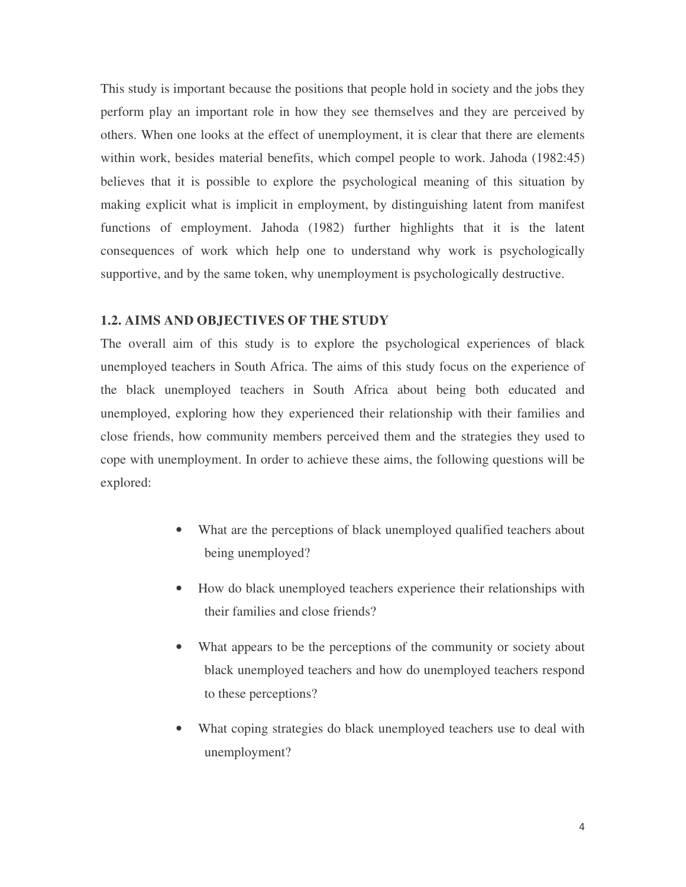This study is important because the positions that people hold in society and the jobs they perform play an important role in how they see themselves and they are perceived by others. When one looks at the effect of unemployment, it is clear that there are elements within work, besides material benefits, which compel people to work. Jahoda (1982:45) believes that it is possible to explore the psychological meaning of this situation by making explicit what is implicit in employment, by distinguishing latent from manifest functions of employment. Jahoda (1982) further highlights that it is the latent consequences of work which help one to understand why work is psychologically supportive, and by the same token, why unemployment is psychologically destructive.

# **1.2. AIMS AND OBJECTIVES OF THE STUDY**

The overall aim of this study is to explore the psychological experiences of black unemployed teachers in South Africa. The aims of this study focus on the experience of the black unemployed teachers in South Africa about being both educated and unemployed, exploring how they experienced their relationship with their families and close friends, how community members perceived them and the strategies they used to cope with unemployment. In order to achieve these aims, the following questions will be explored:

- What are the perceptions of black unemployed qualified teachers about being unemployed?
- How do black unemployed teachers experience their relationships with their families and close friends?
- What appears to be the perceptions of the community or society about black unemployed teachers and how do unemployed teachers respond to these perceptions?
- What coping strategies do black unemployed teachers use to deal with unemployment?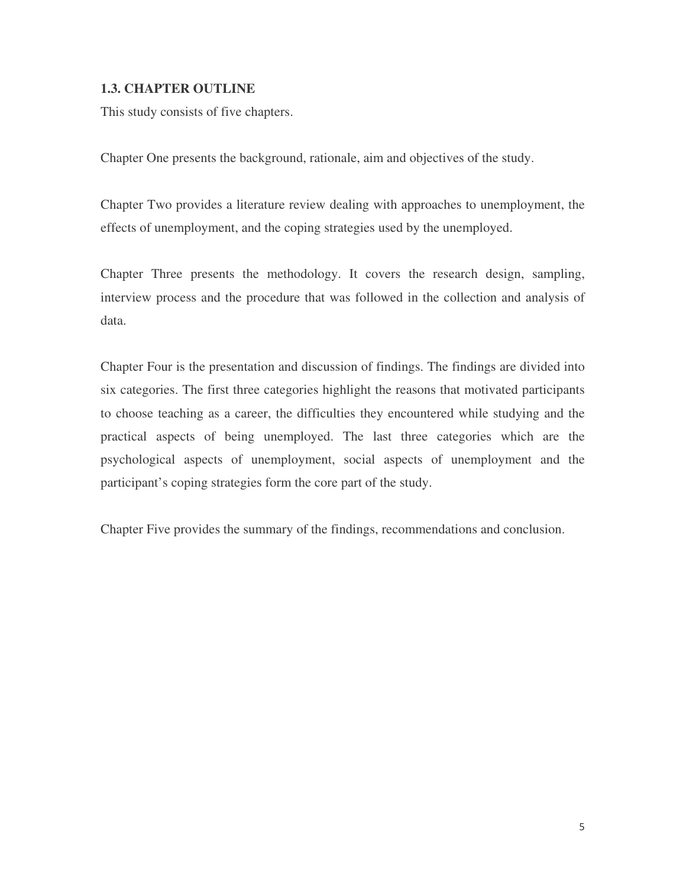# **1.3. CHAPTER OUTLINE**

This study consists of five chapters.

Chapter One presents the background, rationale, aim and objectives of the study.

Chapter Two provides a literature review dealing with approaches to unemployment, the effects of unemployment, and the coping strategies used by the unemployed.

Chapter Three presents the methodology. It covers the research design, sampling, interview process and the procedure that was followed in the collection and analysis of data.

Chapter Four is the presentation and discussion of findings. The findings are divided into six categories. The first three categories highlight the reasons that motivated participants to choose teaching as a career, the difficulties they encountered while studying and the practical aspects of being unemployed. The last three categories which are the psychological aspects of unemployment, social aspects of unemployment and the participant's coping strategies form the core part of the study.

Chapter Five provides the summary of the findings, recommendations and conclusion.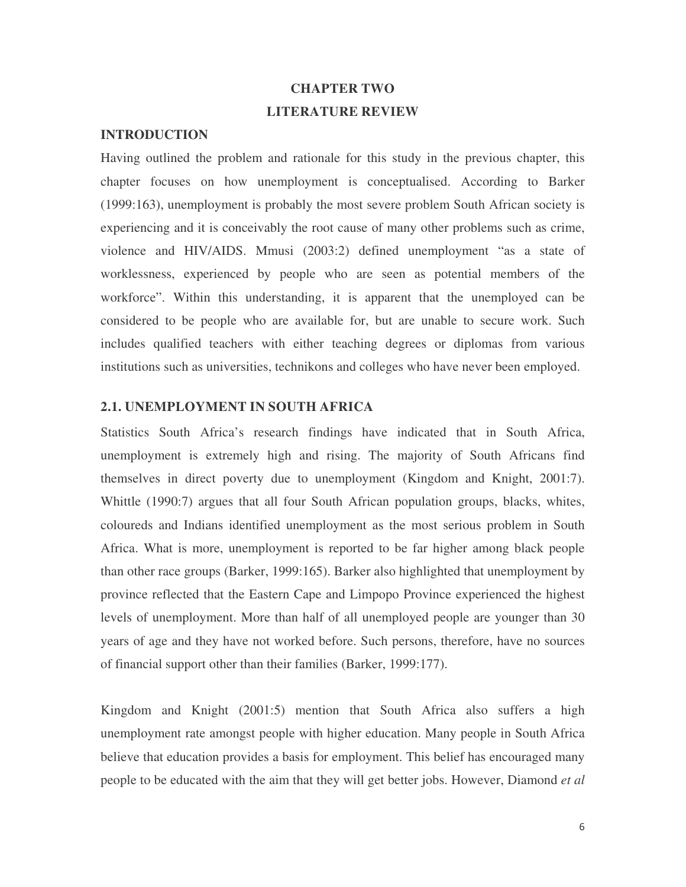# **CHAPTER TWO LITERATURE REVIEW**

# **INTRODUCTION**

Having outlined the problem and rationale for this study in the previous chapter, this chapter focuses on how unemployment is conceptualised. According to Barker (1999:163), unemployment is probably the most severe problem South African society is experiencing and it is conceivably the root cause of many other problems such as crime, violence and HIV/AIDS. Mmusi (2003:2) defined unemployment "as a state of worklessness, experienced by people who are seen as potential members of the workforce". Within this understanding, it is apparent that the unemployed can be considered to be people who are available for, but are unable to secure work. Such includes qualified teachers with either teaching degrees or diplomas from various institutions such as universities, technikons and colleges who have never been employed.

# **2.1. UNEMPLOYMENT IN SOUTH AFRICA**

Statistics South Africa's research findings have indicated that in South Africa, unemployment is extremely high and rising. The majority of South Africans find themselves in direct poverty due to unemployment (Kingdom and Knight, 2001:7). Whittle (1990:7) argues that all four South African population groups, blacks, whites, coloureds and Indians identified unemployment as the most serious problem in South Africa. What is more, unemployment is reported to be far higher among black people than other race groups (Barker, 1999:165). Barker also highlighted that unemployment by province reflected that the Eastern Cape and Limpopo Province experienced the highest levels of unemployment. More than half of all unemployed people are younger than 30 years of age and they have not worked before. Such persons, therefore, have no sources of financial support other than their families (Barker, 1999:177).

Kingdom and Knight (2001:5) mention that South Africa also suffers a high unemployment rate amongst people with higher education. Many people in South Africa believe that education provides a basis for employment. This belief has encouraged many people to be educated with the aim that they will get better jobs. However, Diamond *et al*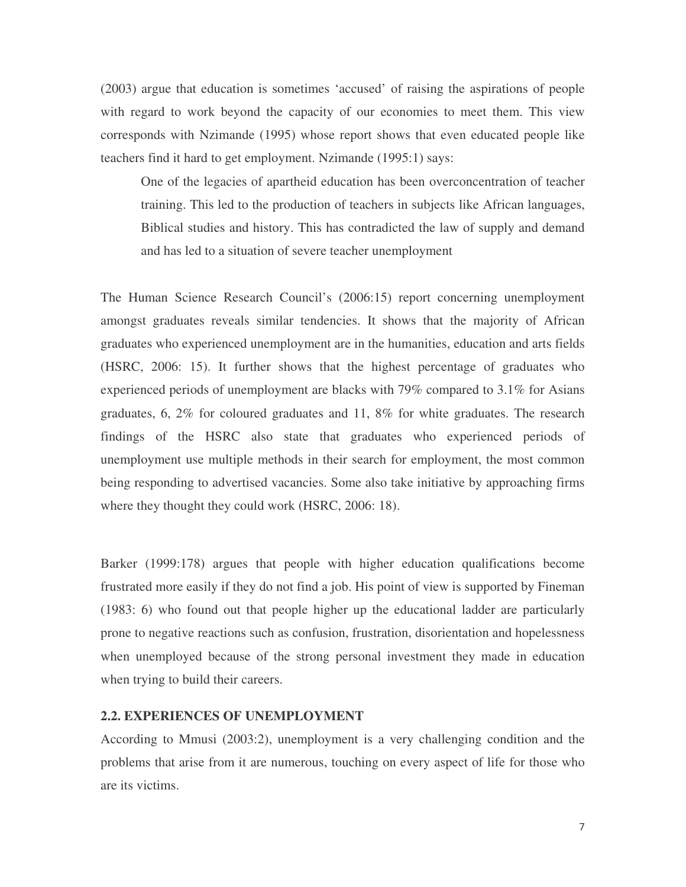(2003) argue that education is sometimes 'accused' of raising the aspirations of people with regard to work beyond the capacity of our economies to meet them. This view corresponds with Nzimande (1995) whose report shows that even educated people like teachers find it hard to get employment. Nzimande (1995:1) says:

One of the legacies of apartheid education has been overconcentration of teacher training. This led to the production of teachers in subjects like African languages, Biblical studies and history. This has contradicted the law of supply and demand and has led to a situation of severe teacher unemployment

The Human Science Research Council's (2006:15) report concerning unemployment amongst graduates reveals similar tendencies. It shows that the majority of African graduates who experienced unemployment are in the humanities, education and arts fields (HSRC, 2006: 15). It further shows that the highest percentage of graduates who experienced periods of unemployment are blacks with 79% compared to 3.1% for Asians graduates, 6, 2% for coloured graduates and 11, 8% for white graduates. The research findings of the HSRC also state that graduates who experienced periods of unemployment use multiple methods in their search for employment, the most common being responding to advertised vacancies. Some also take initiative by approaching firms where they thought they could work (HSRC, 2006: 18).

Barker (1999:178) argues that people with higher education qualifications become frustrated more easily if they do not find a job. His point of view is supported by Fineman (1983: 6) who found out that people higher up the educational ladder are particularly prone to negative reactions such as confusion, frustration, disorientation and hopelessness when unemployed because of the strong personal investment they made in education when trying to build their careers.

#### **2.2. EXPERIENCES OF UNEMPLOYMENT**

According to Mmusi (2003:2), unemployment is a very challenging condition and the problems that arise from it are numerous, touching on every aspect of life for those who are its victims.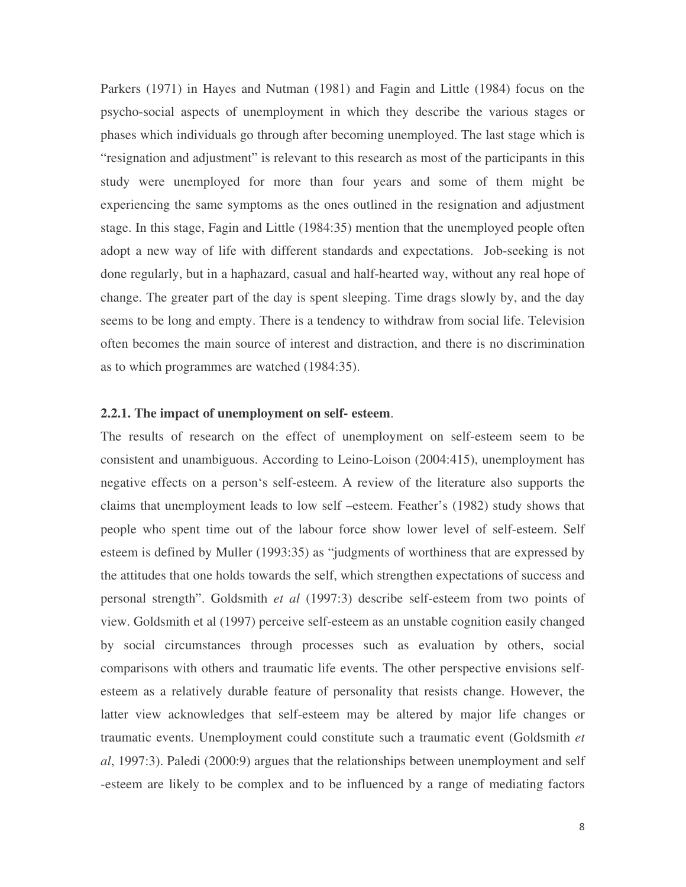Parkers (1971) in Hayes and Nutman (1981) and Fagin and Little (1984) focus on the psycho-social aspects of unemployment in which they describe the various stages or phases which individuals go through after becoming unemployed. The last stage which is "resignation and adjustment" is relevant to this research as most of the participants in this study were unemployed for more than four years and some of them might be experiencing the same symptoms as the ones outlined in the resignation and adjustment stage. In this stage, Fagin and Little (1984:35) mention that the unemployed people often adopt a new way of life with different standards and expectations. Job-seeking is not done regularly, but in a haphazard, casual and half-hearted way, without any real hope of change. The greater part of the day is spent sleeping. Time drags slowly by, and the day seems to be long and empty. There is a tendency to withdraw from social life. Television often becomes the main source of interest and distraction, and there is no discrimination as to which programmes are watched (1984:35).

### **2.2.1. The impact of unemployment on self- esteem**.

The results of research on the effect of unemployment on self-esteem seem to be consistent and unambiguous. According to Leino-Loison (2004:415), unemployment has negative effects on a person's self-esteem. A review of the literature also supports the claims that unemployment leads to low self –esteem. Feather's (1982) study shows that people who spent time out of the labour force show lower level of self-esteem. Self esteem is defined by Muller (1993:35) as "judgments of worthiness that are expressed by the attitudes that one holds towards the self, which strengthen expectations of success and personal strength". Goldsmith *et al* (1997:3) describe self-esteem from two points of view. Goldsmith et al (1997) perceive self-esteem as an unstable cognition easily changed by social circumstances through processes such as evaluation by others, social comparisons with others and traumatic life events. The other perspective envisions selfesteem as a relatively durable feature of personality that resists change. However, the latter view acknowledges that self-esteem may be altered by major life changes or traumatic events. Unemployment could constitute such a traumatic event (Goldsmith *et al*, 1997:3). Paledi (2000:9) argues that the relationships between unemployment and self -esteem are likely to be complex and to be influenced by a range of mediating factors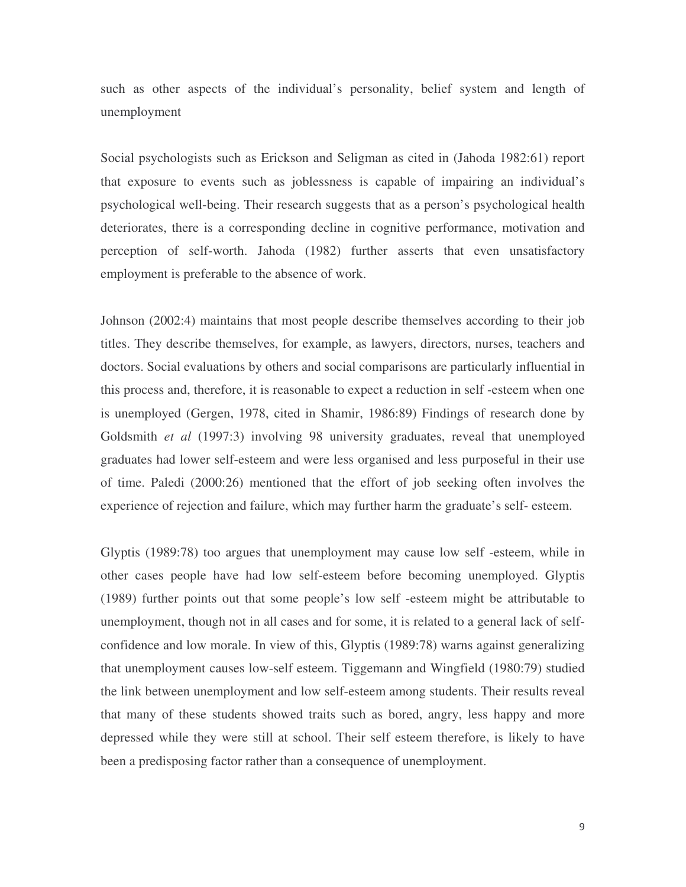such as other aspects of the individual's personality, belief system and length of unemployment

Social psychologists such as Erickson and Seligman as cited in (Jahoda 1982:61) report that exposure to events such as joblessness is capable of impairing an individual's psychological well-being. Their research suggests that as a person's psychological health deteriorates, there is a corresponding decline in cognitive performance, motivation and perception of self-worth. Jahoda (1982) further asserts that even unsatisfactory employment is preferable to the absence of work.

Johnson (2002:4) maintains that most people describe themselves according to their job titles. They describe themselves, for example, as lawyers, directors, nurses, teachers and doctors. Social evaluations by others and social comparisons are particularly influential in this process and, therefore, it is reasonable to expect a reduction in self -esteem when one is unemployed (Gergen, 1978, cited in Shamir, 1986:89) Findings of research done by Goldsmith *et al* (1997:3) involving 98 university graduates, reveal that unemployed graduates had lower self-esteem and were less organised and less purposeful in their use of time. Paledi (2000:26) mentioned that the effort of job seeking often involves the experience of rejection and failure, which may further harm the graduate's self- esteem.

Glyptis (1989:78) too argues that unemployment may cause low self -esteem, while in other cases people have had low self-esteem before becoming unemployed. Glyptis (1989) further points out that some people's low self -esteem might be attributable to unemployment, though not in all cases and for some, it is related to a general lack of selfconfidence and low morale. In view of this, Glyptis (1989:78) warns against generalizing that unemployment causes low-self esteem. Tiggemann and Wingfield (1980:79) studied the link between unemployment and low self-esteem among students. Their results reveal that many of these students showed traits such as bored, angry, less happy and more depressed while they were still at school. Their self esteem therefore, is likely to have been a predisposing factor rather than a consequence of unemployment.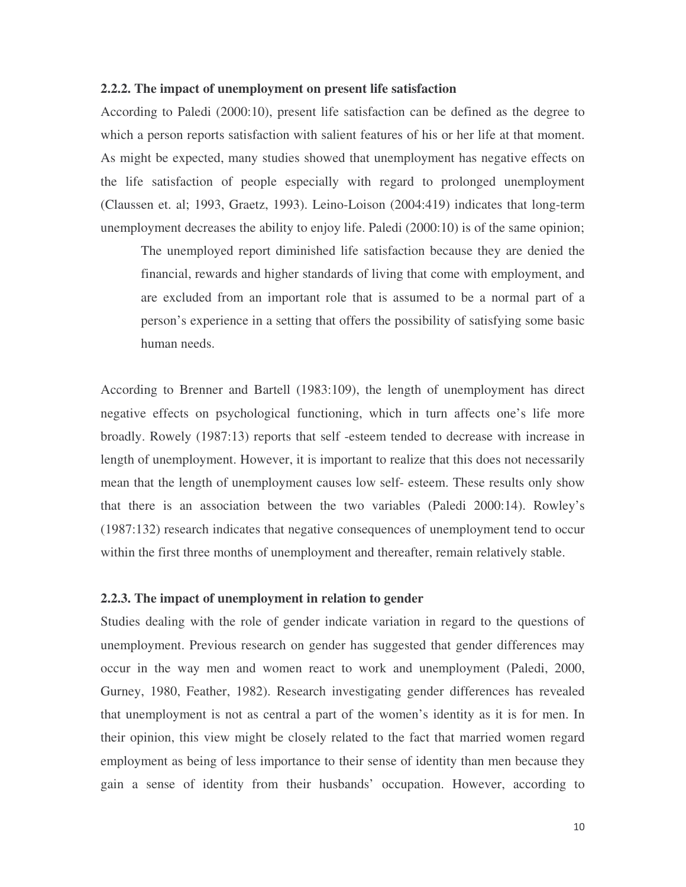#### **2.2.2. The impact of unemployment on present life satisfaction**

According to Paledi (2000:10), present life satisfaction can be defined as the degree to which a person reports satisfaction with salient features of his or her life at that moment. As might be expected, many studies showed that unemployment has negative effects on the life satisfaction of people especially with regard to prolonged unemployment (Claussen et. al; 1993, Graetz, 1993). Leino-Loison (2004:419) indicates that long-term unemployment decreases the ability to enjoy life. Paledi (2000:10) is of the same opinion;

The unemployed report diminished life satisfaction because they are denied the financial, rewards and higher standards of living that come with employment, and are excluded from an important role that is assumed to be a normal part of a person's experience in a setting that offers the possibility of satisfying some basic human needs.

According to Brenner and Bartell (1983:109), the length of unemployment has direct negative effects on psychological functioning, which in turn affects one's life more broadly. Rowely (1987:13) reports that self -esteem tended to decrease with increase in length of unemployment. However, it is important to realize that this does not necessarily mean that the length of unemployment causes low self- esteem. These results only show that there is an association between the two variables (Paledi 2000:14). Rowley's (1987:132) research indicates that negative consequences of unemployment tend to occur within the first three months of unemployment and thereafter, remain relatively stable.

# **2.2.3. The impact of unemployment in relation to gender**

Studies dealing with the role of gender indicate variation in regard to the questions of unemployment. Previous research on gender has suggested that gender differences may occur in the way men and women react to work and unemployment (Paledi, 2000, Gurney, 1980, Feather, 1982). Research investigating gender differences has revealed that unemployment is not as central a part of the women's identity as it is for men. In their opinion, this view might be closely related to the fact that married women regard employment as being of less importance to their sense of identity than men because they gain a sense of identity from their husbands' occupation. However, according to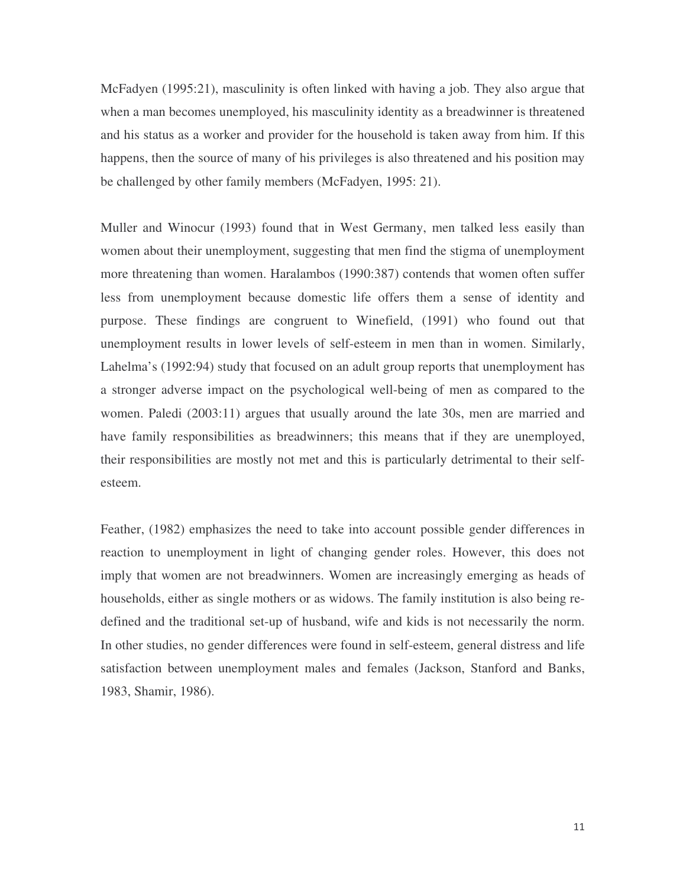McFadyen (1995:21), masculinity is often linked with having a job. They also argue that when a man becomes unemployed, his masculinity identity as a breadwinner is threatened and his status as a worker and provider for the household is taken away from him. If this happens, then the source of many of his privileges is also threatened and his position may be challenged by other family members (McFadyen, 1995: 21).

Muller and Winocur (1993) found that in West Germany, men talked less easily than women about their unemployment, suggesting that men find the stigma of unemployment more threatening than women. Haralambos (1990:387) contends that women often suffer less from unemployment because domestic life offers them a sense of identity and purpose. These findings are congruent to Winefield, (1991) who found out that unemployment results in lower levels of self-esteem in men than in women. Similarly, Lahelma's (1992:94) study that focused on an adult group reports that unemployment has a stronger adverse impact on the psychological well-being of men as compared to the women. Paledi (2003:11) argues that usually around the late 30s, men are married and have family responsibilities as breadwinners; this means that if they are unemployed, their responsibilities are mostly not met and this is particularly detrimental to their selfesteem.

Feather, (1982) emphasizes the need to take into account possible gender differences in reaction to unemployment in light of changing gender roles. However, this does not imply that women are not breadwinners. Women are increasingly emerging as heads of households, either as single mothers or as widows. The family institution is also being redefined and the traditional set-up of husband, wife and kids is not necessarily the norm. In other studies, no gender differences were found in self-esteem, general distress and life satisfaction between unemployment males and females (Jackson, Stanford and Banks, 1983, Shamir, 1986).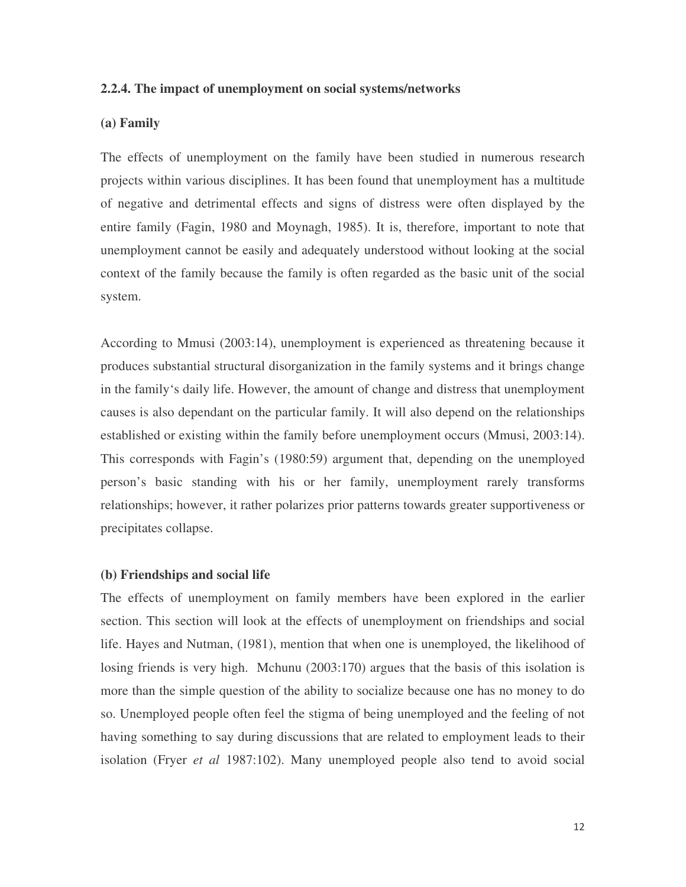#### **(a) Family**

The effects of unemployment on the family have been studied in numerous research projects within various disciplines. It has been found that unemployment has a multitude of negative and detrimental effects and signs of distress were often displayed by the entire family (Fagin, 1980 and Moynagh, 1985). It is, therefore, important to note that unemployment cannot be easily and adequately understood without looking at the social context of the family because the family is often regarded as the basic unit of the social system.

**2.2.4. The impact of unemployment on social systems/networks**<br> **(a) Family**<br> **The effects of unemployment on the family have been studied in numerous research<br>
<b>incredicts** the function structure of the family have been According to Mmusi (2003:14), unemployment is experienced as threatening because it produces substantial structural disorganization in the family systems and it brings change in the family's daily life. However, the amount of change and distress that unemployment causes is also dependant on the particular family. It will also depend on the relationships established or existing within the family before unemployment occurs (Mmusi, 2003:14). This corresponds with Fagin's (1980:59) argument that, depending on the unemployed person's basic standing with his or her family, unemployment rarely transforms relationships; however, it rather polarizes prior patterns towards greater supportiveness or precipitates collapse.

# **(b) Friendships and social life**

The effects of unemployment on family members have been explored in the earlier section. This section will look at the effects of unemployment on friendships and social life. Hayes and Nutman, (1981), mention that when one is unemployed, the likelihood of losing friends is very high. Mchunu (2003:170) argues that the basis of this isolation is more than the simple question of the ability to socialize because one has no money to do so. Unemployed people often feel the stigma of being unemployed and the feeling of not having something to say during discussions that are related to employment leads to their isolation (Fryer *et al* 1987:102). Many unemployed people also tend to avoid social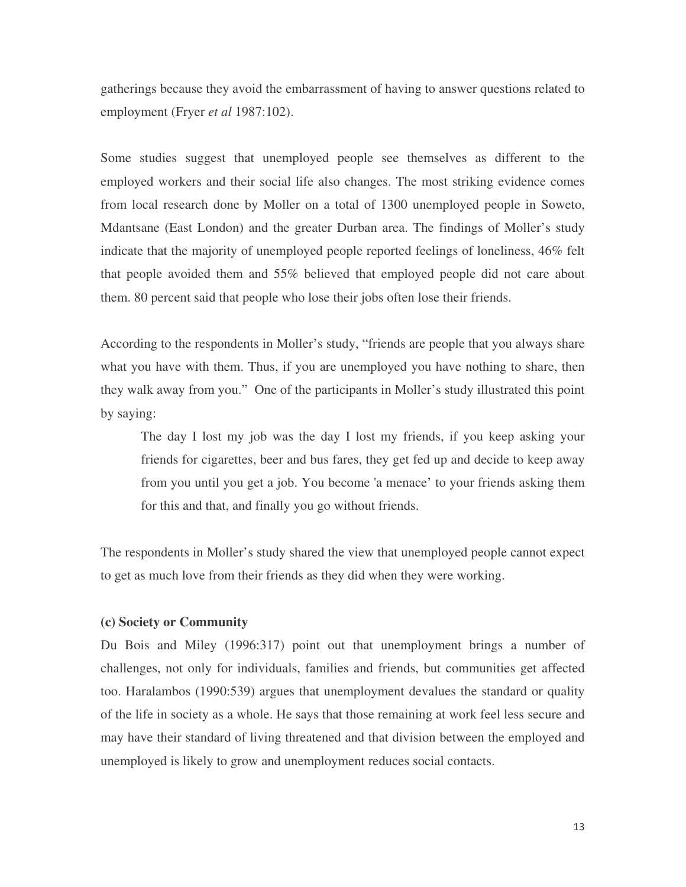gatherings because they avoid the embarrassment of having to answer questions related to employment (Fryer *et al* 1987:102).

Some studies suggest that unemployed people see themselves as different to the employed workers and their social life also changes. The most striking evidence comes from local research done by Moller on a total of 1300 unemployed people in Soweto, Mdantsane (East London) and the greater Durban area. The findings of Moller's study indicate that the majority of unemployed people reported feelings of loneliness, 46% felt that people avoided them and 55% believed that employed people did not care about them. 80 percent said that people who lose their jobs often lose their friends.

According to the respondents in Moller's study, "friends are people that you always share what you have with them. Thus, if you are unemployed you have nothing to share, then they walk away from you." One of the participants in Moller's study illustrated this point by saying:

The day I lost my job was the day I lost my friends, if you keep asking your friends for cigarettes, beer and bus fares, they get fed up and decide to keep away from you until you get a job. You become 'a menace' to your friends asking them for this and that, and finally you go without friends.

The respondents in Moller's study shared the view that unemployed people cannot expect to get as much love from their friends as they did when they were working.

# **(c) Society or Community**

Du Bois and Miley (1996:317) point out that unemployment brings a number of challenges, not only for individuals, families and friends, but communities get affected too. Haralambos (1990:539) argues that unemployment devalues the standard or quality of the life in society as a whole. He says that those remaining at work feel less secure and may have their standard of living threatened and that division between the employed and unemployed is likely to grow and unemployment reduces social contacts.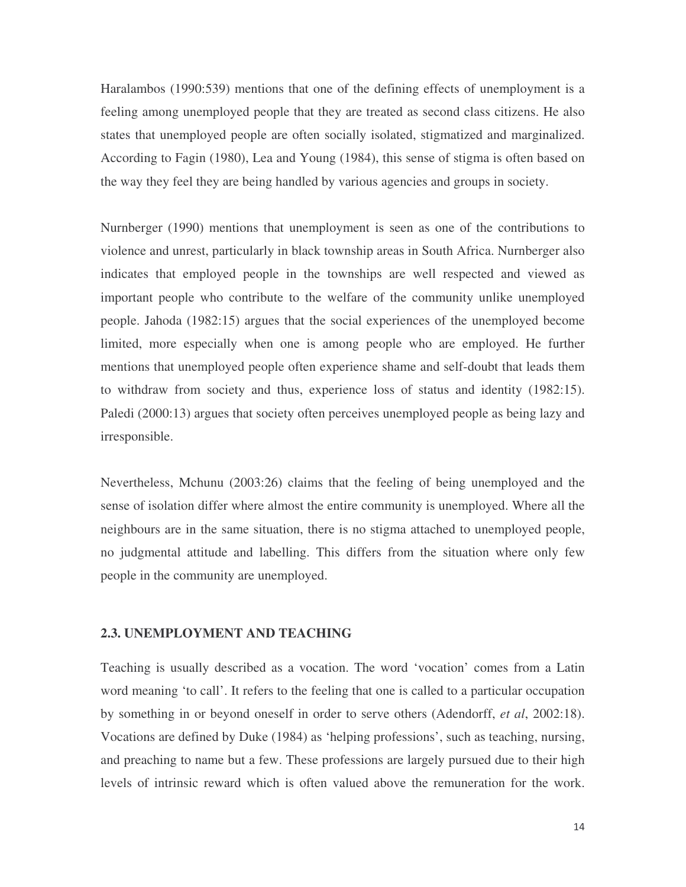Haralambos (1990:539) mentions that one of the defining effects of unemployment is a feeling among unemployed people that they are treated as second class citizens. He also states that unemployed people are often socially isolated, stigmatized and marginalized. According to Fagin (1980), Lea and Young (1984), this sense of stigma is often based on the way they feel they are being handled by various agencies and groups in society.

Nurnberger (1990) mentions that unemployment is seen as one of the contributions to violence and unrest, particularly in black township areas in South Africa. Nurnberger also indicates that employed people in the townships are well respected and viewed as important people who contribute to the welfare of the community unlike unemployed people. Jahoda (1982:15) argues that the social experiences of the unemployed become limited, more especially when one is among people who are employed. He further mentions that unemployed people often experience shame and self-doubt that leads them to withdraw from society and thus, experience loss of status and identity (1982:15). Paledi (2000:13) argues that society often perceives unemployed people as being lazy and irresponsible.

Nevertheless, Mchunu (2003:26) claims that the feeling of being unemployed and the sense of isolation differ where almost the entire community is unemployed. Where all the neighbours are in the same situation, there is no stigma attached to unemployed people, no judgmental attitude and labelling. This differs from the situation where only few people in the community are unemployed.

#### **2.3. UNEMPLOYMENT AND TEACHING**

Teaching is usually described as a vocation. The word 'vocation' comes from a Latin word meaning 'to call'. It refers to the feeling that one is called to a particular occupation by something in or beyond oneself in order to serve others (Adendorff, *et al*, 2002:18). Vocations are defined by Duke (1984) as 'helping professions', such as teaching, nursing, and preaching to name but a few. These professions are largely pursued due to their high levels of intrinsic reward which is often valued above the remuneration for the work.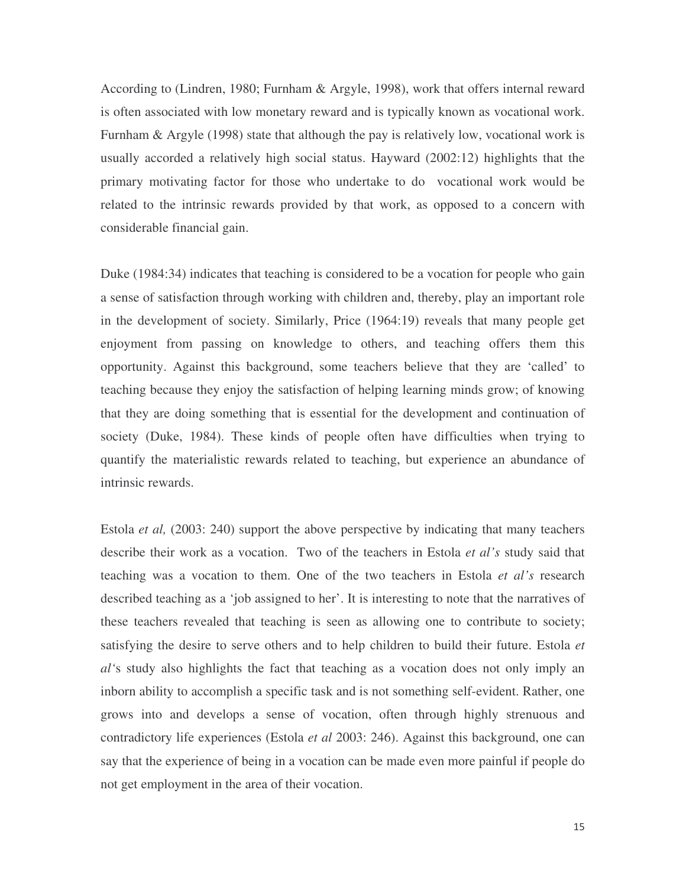According to (Lindren, 1980; Furnham & Argyle, 1998), work that offers internal reward is often associated with low monetary reward and is typically known as vocational work. Furnham & Argyle (1998) state that although the pay is relatively low, vocational work is usually accorded a relatively high social status. Hayward (2002:12) highlights that the primary motivating factor for those who undertake to do vocational work would be related to the intrinsic rewards provided by that work, as opposed to a concern with considerable financial gain.

Duke (1984:34) indicates that teaching is considered to be a vocation for people who gain a sense of satisfaction through working with children and, thereby, play an important role in the development of society. Similarly, Price (1964:19) reveals that many people get enjoyment from passing on knowledge to others, and teaching offers them this opportunity. Against this background, some teachers believe that they are 'called' to teaching because they enjoy the satisfaction of helping learning minds grow; of knowing that they are doing something that is essential for the development and continuation of society (Duke, 1984). These kinds of people often have difficulties when trying to quantify the materialistic rewards related to teaching, but experience an abundance of intrinsic rewards.

Estola *et al,* (2003: 240) support the above perspective by indicating that many teachers describe their work as a vocation. Two of the teachers in Estola *et al's* study said that teaching was a vocation to them. One of the two teachers in Estola *et al's* research described teaching as a 'job assigned to her'. It is interesting to note that the narratives of these teachers revealed that teaching is seen as allowing one to contribute to society; satisfying the desire to serve others and to help children to build their future. Estola *et al'*s study also highlights the fact that teaching as a vocation does not only imply an inborn ability to accomplish a specific task and is not something self-evident. Rather, one grows into and develops a sense of vocation, often through highly strenuous and contradictory life experiences (Estola *et al* 2003: 246). Against this background, one can say that the experience of being in a vocation can be made even more painful if people do not get employment in the area of their vocation.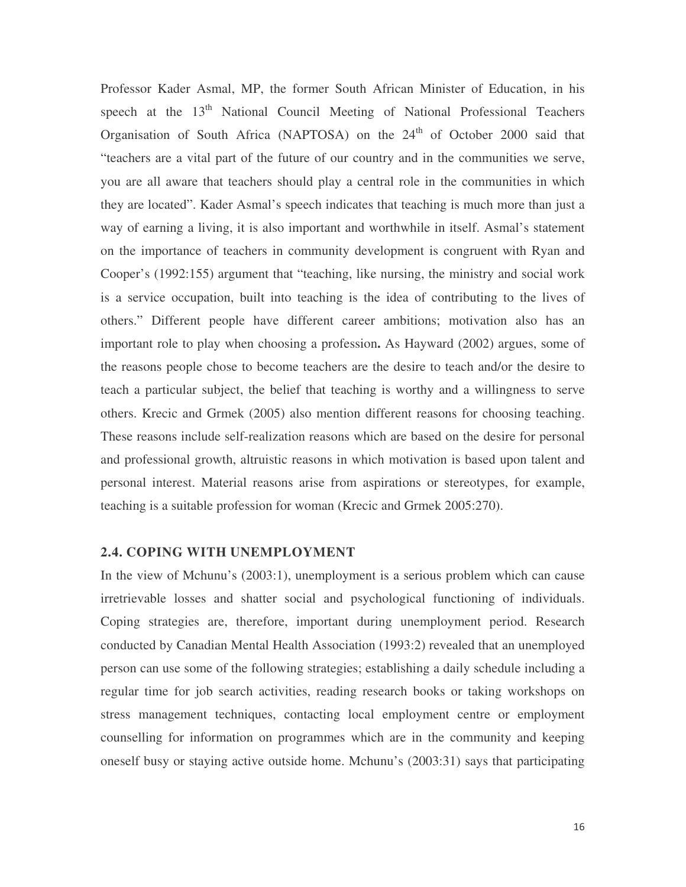Professor Kader Asmal, MP, the former South African Minister of Education, in his speech at the 13<sup>th</sup> National Council Meeting of National Professional Teachers Organisation of South Africa (NAPTOSA) on the 24<sup>th</sup> of October 2000 said that "teachers are a vital part of the future of our country and in the communities we serve, you are all aware that teachers should play a central role in the communities in which they are located". Kader Asmal's speech indicates that teaching is much more than just a way of earning a living, it is also important and worthwhile in itself. Asmal's statement on the importance of teachers in community development is congruent with Ryan and Cooper's (1992:155) argument that "teaching, like nursing, the ministry and social work is a service occupation, built into teaching is the idea of contributing to the lives of others." Different people have different career ambitions; motivation also has an important role to play when choosing a profession**.** As Hayward (2002) argues, some of the reasons people chose to become teachers are the desire to teach and/or the desire to teach a particular subject, the belief that teaching is worthy and a willingness to serve others. Krecic and Grmek (2005) also mention different reasons for choosing teaching. These reasons include self-realization reasons which are based on the desire for personal and professional growth, altruistic reasons in which motivation is based upon talent and personal interest. Material reasons arise from aspirations or stereotypes, for example, teaching is a suitable profession for woman (Krecic and Grmek 2005:270).

#### **2.4. COPING WITH UNEMPLOYMENT**

In the view of Mchunu's (2003:1), unemployment is a serious problem which can cause irretrievable losses and shatter social and psychological functioning of individuals. Coping strategies are, therefore, important during unemployment period. Research conducted by Canadian Mental Health Association (1993:2) revealed that an unemployed person can use some of the following strategies; establishing a daily schedule including a regular time for job search activities, reading research books or taking workshops on stress management techniques, contacting local employment centre or employment counselling for information on programmes which are in the community and keeping oneself busy or staying active outside home. Mchunu's (2003:31) says that participating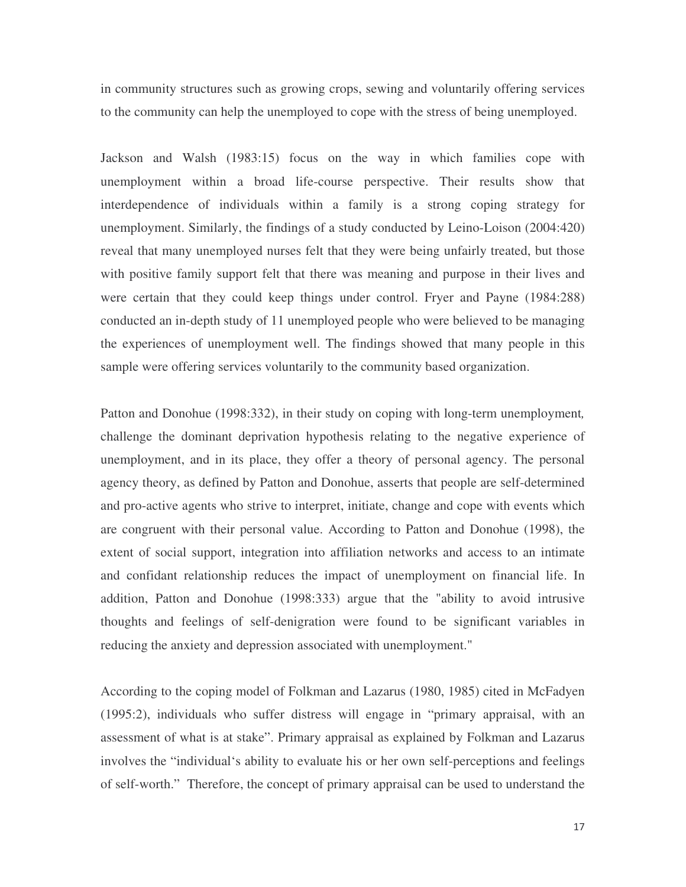in community structures such as growing crops, sewing and voluntarily offering services to the community can help the unemployed to cope with the stress of being unemployed.

Jackson and Walsh (1983:15) focus on the way in which families cope with unemployment within a broad life-course perspective. Their results show that interdependence of individuals within a family is a strong coping strategy for unemployment. Similarly, the findings of a study conducted by Leino-Loison (2004:420) reveal that many unemployed nurses felt that they were being unfairly treated, but those with positive family support felt that there was meaning and purpose in their lives and were certain that they could keep things under control. Fryer and Payne (1984:288) conducted an in-depth study of 11 unemployed people who were believed to be managing the experiences of unemployment well. The findings showed that many people in this sample were offering services voluntarily to the community based organization.

Patton and Donohue (1998:332), in their study on coping with long-term unemployment*,* challenge the dominant deprivation hypothesis relating to the negative experience of unemployment, and in its place, they offer a theory of personal agency. The personal agency theory, as defined by Patton and Donohue, asserts that people are self-determined and pro-active agents who strive to interpret, initiate, change and cope with events which are congruent with their personal value. According to Patton and Donohue (1998), the extent of social support, integration into affiliation networks and access to an intimate and confidant relationship reduces the impact of unemployment on financial life. In addition, Patton and Donohue (1998:333) argue that the "ability to avoid intrusive thoughts and feelings of self-denigration were found to be significant variables in reducing the anxiety and depression associated with unemployment."

According to the coping model of Folkman and Lazarus (1980, 1985) cited in McFadyen (1995:2), individuals who suffer distress will engage in "primary appraisal, with an assessment of what is at stake". Primary appraisal as explained by Folkman and Lazarus involves the "individual's ability to evaluate his or her own self-perceptions and feelings of self-worth." Therefore, the concept of primary appraisal can be used to understand the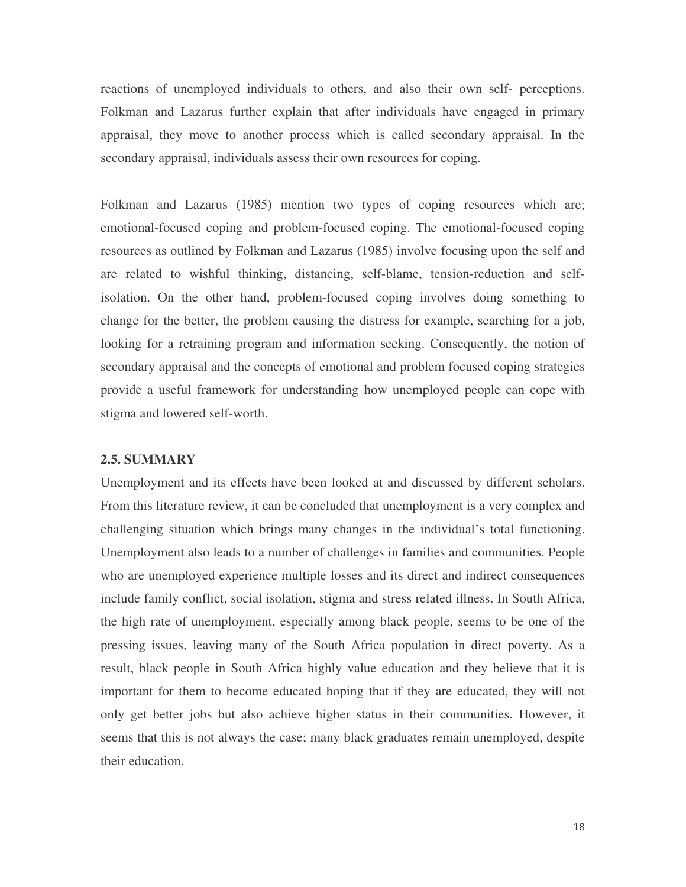reactions of unemployed individuals to others, and also their own self- perceptions. Folkman and Lazarus further explain that after individuals have engaged in primary appraisal, they move to another process which is called secondary appraisal. In the secondary appraisal, individuals assess their own resources for coping.

Folkman and Lazarus (1985) mention two types of coping resources which are; emotional-focused coping and problem-focused coping. The emotional-focused coping resources as outlined by Folkman and Lazarus (1985) involve focusing upon the self and are related to wishful thinking, distancing, self-blame, tension-reduction and selfisolation. On the other hand, problem-focused coping involves doing something to change for the better, the problem causing the distress for example, searching for a job, looking for a retraining program and information seeking. Consequently, the notion of secondary appraisal and the concepts of emotional and problem focused coping strategies provide a useful framework for understanding how unemployed people can cope with stigma and lowered self-worth.

# **2.5. SUMMARY**

Unemployment and its effects have been looked at and discussed by different scholars. From this literature review, it can be concluded that unemployment is a very complex and challenging situation which brings many changes in the individual's total functioning. Unemployment also leads to a number of challenges in families and communities. People who are unemployed experience multiple losses and its direct and indirect consequences include family conflict, social isolation, stigma and stress related illness. In South Africa, the high rate of unemployment, especially among black people, seems to be one of the pressing issues, leaving many of the South Africa population in direct poverty. As a result, black people in South Africa highly value education and they believe that it is important for them to become educated hoping that if they are educated, they will not only get better jobs but also achieve higher status in their communities. However, it seems that this is not always the case; many black graduates remain unemployed, despite their education.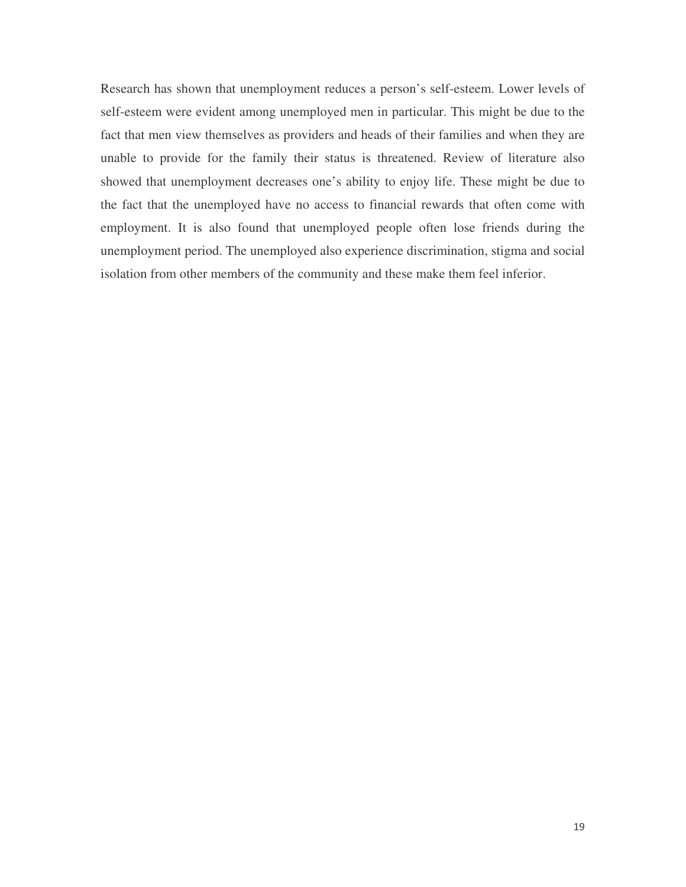Research has shown that unemployment reduces a person's self-esteem. Lower levels of self-esteem were evident among unemployed men in particular. This might be due to the fact that men view themselves as providers and heads of their families and when they are unable to provide for the family their status is threatened. Review of literature also showed that unemployment decreases one's ability to enjoy life. These might be due to the fact that the unemployed have no access to financial rewards that often come with employment. It is also found that unemployed people often lose friends during the unemployment period. The unemployed also experience discrimination, stigma and social isolation from other members of the community and these make them feel inferior.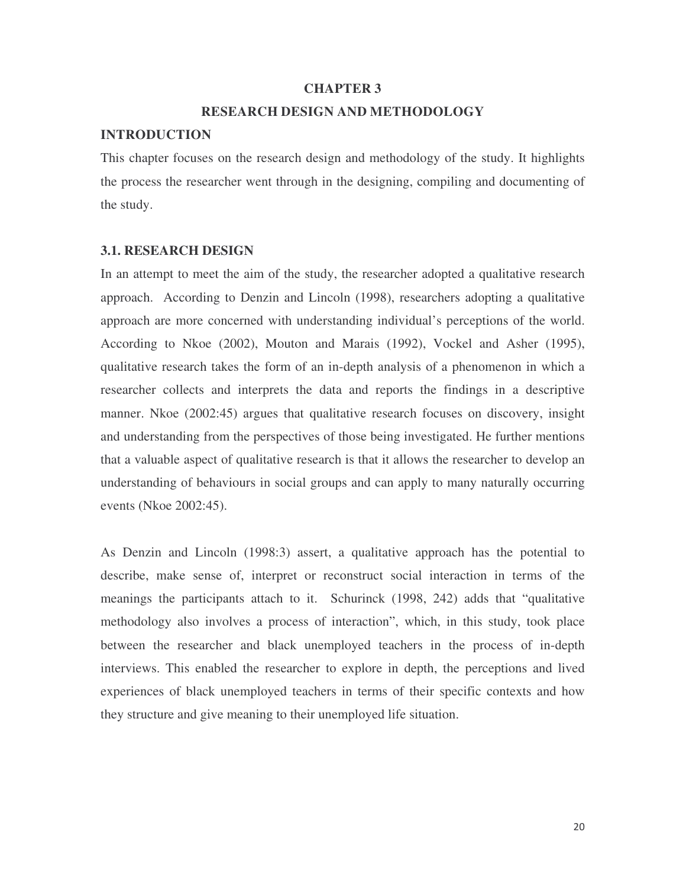#### **CHAPTER 3**

# **RESEARCH DESIGN AND METHODOLOGY**

#### **INTRODUCTION**

This chapter focuses on the research design and methodology of the study. It highlights the process the researcher went through in the designing, compiling and documenting of the study.

#### **3.1. RESEARCH DESIGN**

In an attempt to meet the aim of the study, the researcher adopted a qualitative research approach. According to Denzin and Lincoln (1998), researchers adopting a qualitative approach are more concerned with understanding individual's perceptions of the world. According to Nkoe (2002), Mouton and Marais (1992), Vockel and Asher (1995), qualitative research takes the form of an in-depth analysis of a phenomenon in which a researcher collects and interprets the data and reports the findings in a descriptive manner. Nkoe (2002:45) argues that qualitative research focuses on discovery, insight and understanding from the perspectives of those being investigated. He further mentions that a valuable aspect of qualitative research is that it allows the researcher to develop an understanding of behaviours in social groups and can apply to many naturally occurring events (Nkoe 2002:45).

As Denzin and Lincoln (1998:3) assert, a qualitative approach has the potential to describe, make sense of, interpret or reconstruct social interaction in terms of the meanings the participants attach to it. Schurinck (1998, 242) adds that "qualitative methodology also involves a process of interaction", which, in this study, took place between the researcher and black unemployed teachers in the process of in-depth interviews. This enabled the researcher to explore in depth, the perceptions and lived experiences of black unemployed teachers in terms of their specific contexts and how they structure and give meaning to their unemployed life situation.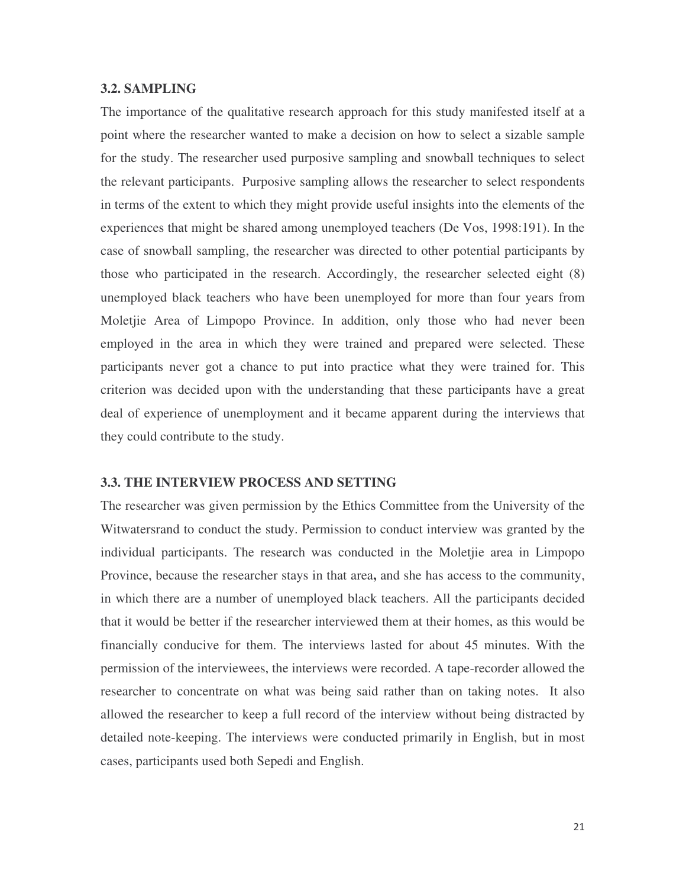# **3.2. SAMPLING**

The importance of the qualitative research approach for this study manifested itself at a point where the researcher wanted to make a decision on how to select a sizable sample for the study. The researcher used purposive sampling and snowball techniques to select the relevant participants. Purposive sampling allows the researcher to select respondents in terms of the extent to which they might provide useful insights into the elements of the experiences that might be shared among unemployed teachers (De Vos, 1998:191). In the case of snowball sampling, the researcher was directed to other potential participants by those who participated in the research. Accordingly, the researcher selected eight (8) unemployed black teachers who have been unemployed for more than four years from Moletjie Area of Limpopo Province. In addition, only those who had never been employed in the area in which they were trained and prepared were selected. These participants never got a chance to put into practice what they were trained for. This criterion was decided upon with the understanding that these participants have a great deal of experience of unemployment and it became apparent during the interviews that they could contribute to the study.

#### **3.3. THE INTERVIEW PROCESS AND SETTING**

The researcher was given permission by the Ethics Committee from the University of the Witwatersrand to conduct the study. Permission to conduct interview was granted by the individual participants. The research was conducted in the Moletjie area in Limpopo Province, because the researcher stays in that area**,** and she has access to the community, in which there are a number of unemployed black teachers. All the participants decided that it would be better if the researcher interviewed them at their homes, as this would be financially conducive for them. The interviews lasted for about 45 minutes. With the permission of the interviewees, the interviews were recorded. A tape-recorder allowed the researcher to concentrate on what was being said rather than on taking notes. It also allowed the researcher to keep a full record of the interview without being distracted by detailed note-keeping. The interviews were conducted primarily in English, but in most cases, participants used both Sepedi and English.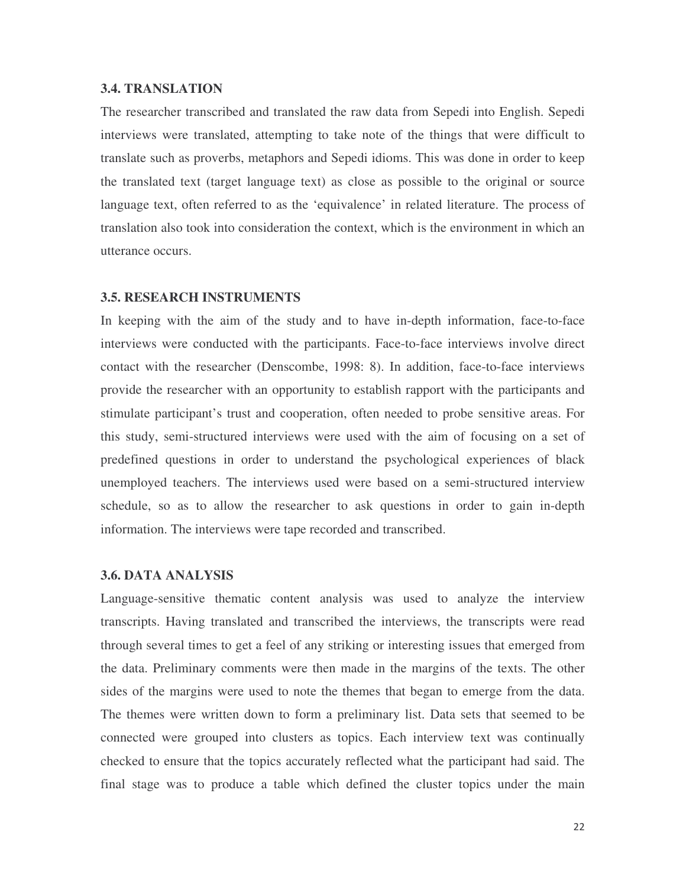The researcher transcribed and translated the raw data from Sepedi into English. Sepedi interviews were translated, attempting to take note of the things that were difficult to translate such as proverbs, metaphors and Sepedi idioms. This was done in order to keep the translated text (target language text) as close as possible to the original or source language text, often referred to as the 'equivalence' in related literature. The process of translation also took into consideration the context, which is the environment in which an utterance occurs.

#### **3.5. RESEARCH INSTRUMENTS**

**3.4. TRANSLATION THOMATION**<br> **3.4.** THE **THEONEMATION** THOMATION (THEONEMATION TOWER THEONEMATION TO THEONEMATION TO THEONEMATION TO THEONEMATION THEONEMATION TO THEONEMATION THEONEMATION TO THEONEMATION TO THEONEMATION T In keeping with the aim of the study and to have in-depth information, face-to-face interviews were conducted with the participants. Face-to-face interviews involve direct contact with the researcher (Denscombe, 1998: 8). In addition, face-to-face interviews provide the researcher with an opportunity to establish rapport with the participants and stimulate participant's trust and cooperation, often needed to probe sensitive areas. For this study, semi-structured interviews were used with the aim of focusing on a set of predefined questions in order to understand the psychological experiences of black unemployed teachers. The interviews used were based on a semi-structured interview schedule, so as to allow the researcher to ask questions in order to gain in-depth information. The interviews were tape recorded and transcribed.

# **3.6. DATA ANALYSIS**

Language-sensitive thematic content analysis was used to analyze the interview transcripts. Having translated and transcribed the interviews, the transcripts were read through several times to get a feel of any striking or interesting issues that emerged from the data. Preliminary comments were then made in the margins of the texts. The other sides of the margins were used to note the themes that began to emerge from the data. The themes were written down to form a preliminary list. Data sets that seemed to be connected were grouped into clusters as topics. Each interview text was continually checked to ensure that the topics accurately reflected what the participant had said. The final stage was to produce a table which defined the cluster topics under the main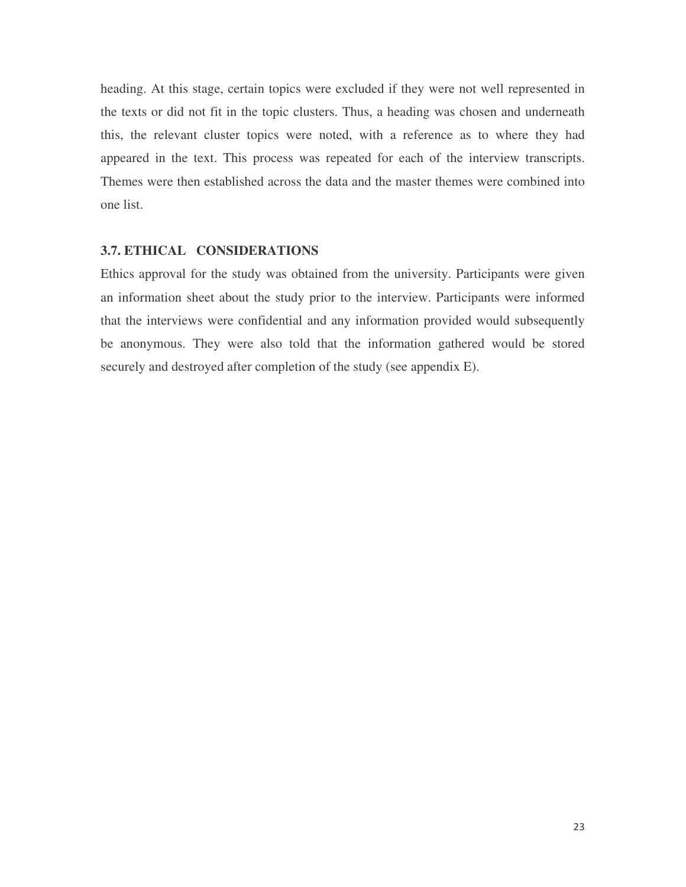heading. At this stage, certain topics were excluded if they were not well represented in the texts or did not fit in the topic clusters. Thus, a heading was chosen and underneath this, the relevant cluster topics were noted, with a reference as to where they had appeared in the text. This process was repeated for each of the interview transcripts. Themes were then established across the data and the master themes were combined into one list.

#### **3.7. ETHICAL CONSIDERATIONS**

Ethics approval for the study was obtained from the university. Participants were given an information sheet about the study prior to the interview. Participants were informed that the interviews were confidential and any information provided would subsequently be anonymous. They were also told that the information gathered would be stored securely and destroyed after completion of the study (see appendix E).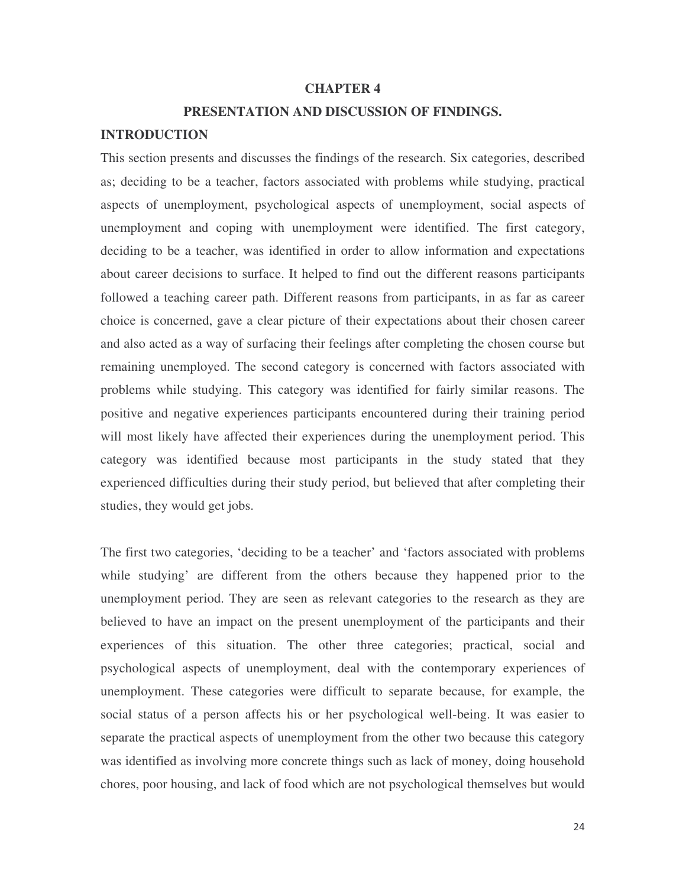#### **CHAPTER 4**

#### **PRESENTATION AND DISCUSSION OF FINDINGS.**

# **INTRODUCTION**

This section presents and discusses the findings of the research. Six categories, described as; deciding to be a teacher, factors associated with problems while studying, practical aspects of unemployment, psychological aspects of unemployment, social aspects of unemployment and coping with unemployment were identified. The first category, deciding to be a teacher, was identified in order to allow information and expectations about career decisions to surface. It helped to find out the different reasons participants followed a teaching career path. Different reasons from participants, in as far as career choice is concerned, gave a clear picture of their expectations about their chosen career and also acted as a way of surfacing their feelings after completing the chosen course but remaining unemployed. The second category is concerned with factors associated with problems while studying. This category was identified for fairly similar reasons. The positive and negative experiences participants encountered during their training period will most likely have affected their experiences during the unemployment period. This category was identified because most participants in the study stated that they experienced difficulties during their study period, but believed that after completing their studies, they would get jobs.

The first two categories, 'deciding to be a teacher' and 'factors associated with problems while studying' are different from the others because they happened prior to the unemployment period. They are seen as relevant categories to the research as they are believed to have an impact on the present unemployment of the participants and their experiences of this situation. The other three categories; practical, social and psychological aspects of unemployment, deal with the contemporary experiences of unemployment. These categories were difficult to separate because, for example, the social status of a person affects his or her psychological well-being. It was easier to separate the practical aspects of unemployment from the other two because this category was identified as involving more concrete things such as lack of money, doing household chores, poor housing, and lack of food which are not psychological themselves but would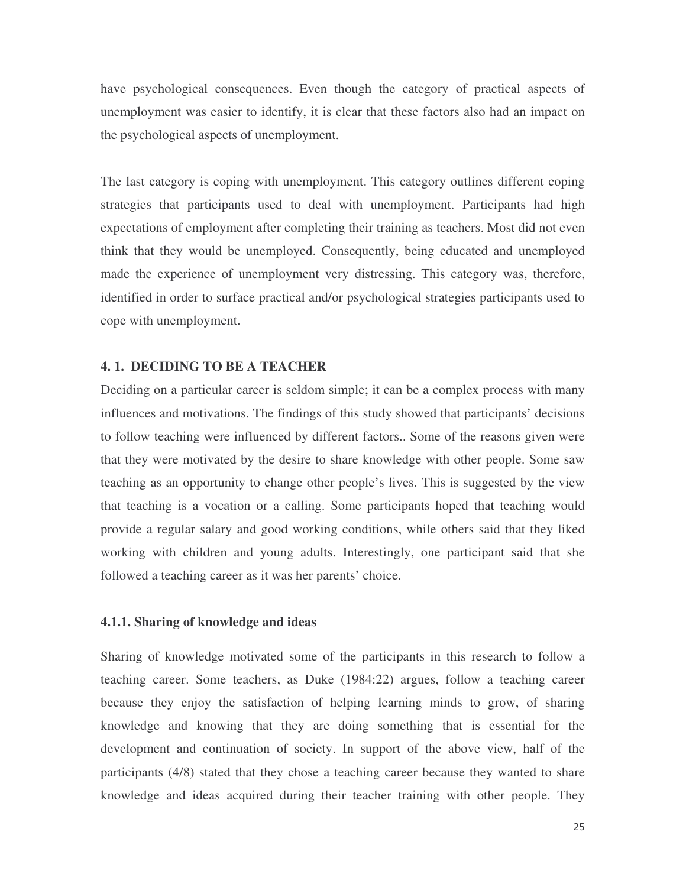have psychological consequences. Even though the category of practical aspects of unemployment was easier to identify, it is clear that these factors also had an impact on the psychological aspects of unemployment.

The last category is coping with unemployment. This category outlines different coping strategies that participants used to deal with unemployment. Participants had high expectations of employment after completing their training as teachers. Most did not even think that they would be unemployed. Consequently, being educated and unemployed made the experience of unemployment very distressing. This category was, therefore, identified in order to surface practical and/or psychological strategies participants used to cope with unemployment.

#### **4. 1. DECIDING TO BE A TEACHER**

Deciding on a particular career is seldom simple; it can be a complex process with many influences and motivations. The findings of this study showed that participants' decisions to follow teaching were influenced by different factors.. Some of the reasons given were that they were motivated by the desire to share knowledge with other people. Some saw teaching as an opportunity to change other people's lives. This is suggested by the view that teaching is a vocation or a calling. Some participants hoped that teaching would provide a regular salary and good working conditions, while others said that they liked working with children and young adults. Interestingly, one participant said that she followed a teaching career as it was her parents' choice.

# **4.1.1. Sharing of knowledge and ideas**

Sharing of knowledge motivated some of the participants in this research to follow a teaching career. Some teachers, as Duke (1984:22) argues, follow a teaching career because they enjoy the satisfaction of helping learning minds to grow, of sharing knowledge and knowing that they are doing something that is essential for the development and continuation of society. In support of the above view, half of the participants (4/8) stated that they chose a teaching career because they wanted to share knowledge and ideas acquired during their teacher training with other people. They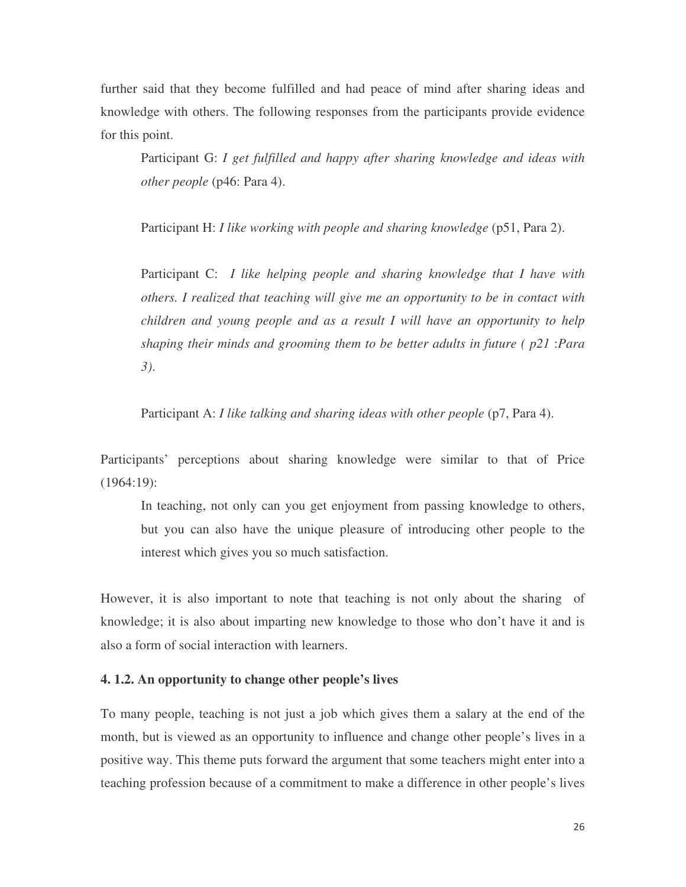further said that they become fulfilled and had peace of mind after sharing ideas and knowledge with others. The following responses from the participants provide evidence for this point.

Participant G: *I get fulfilled and happy after sharing knowledge and ideas with other people* (p46: Para 4).

Participant H: *I like working with people and sharing knowledge* (p51, Para 2).

Participant C: *I like helping people and sharing knowledge that I have with others. I realized that teaching will give me an opportunity to be in contact with children and young people and as a result I will have an opportunity to help shaping their minds and grooming them to be better adults in future ( p21* :*Para 3)*.

Participant A: *I like talking and sharing ideas with other people* (p7, Para 4).

Participants' perceptions about sharing knowledge were similar to that of Price (1964:19):

In teaching, not only can you get enjoyment from passing knowledge to others, but you can also have the unique pleasure of introducing other people to the interest which gives you so much satisfaction.

However, it is also important to note that teaching is not only about the sharing of knowledge; it is also about imparting new knowledge to those who don't have it and is also a form of social interaction with learners.

#### **4. 1.2. An opportunity to change other people's lives**

To many people, teaching is not just a job which gives them a salary at the end of the month, but is viewed as an opportunity to influence and change other people's lives in a positive way. This theme puts forward the argument that some teachers might enter into a teaching profession because of a commitment to make a difference in other people's lives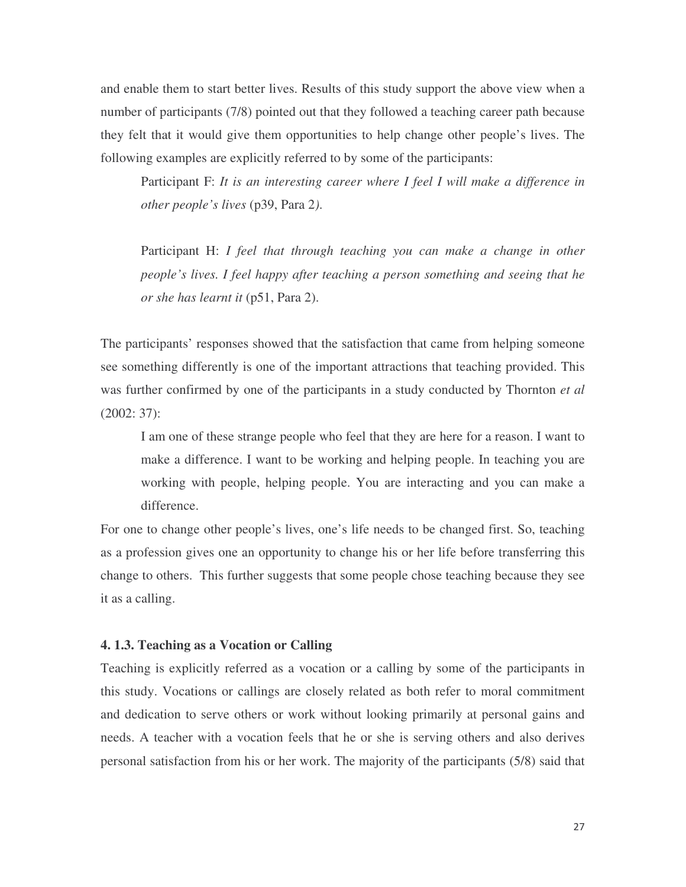and enable them to start better lives. Results of this study support the above view when a number of participants (7/8) pointed out that they followed a teaching career path because they felt that it would give them opportunities to help change other people's lives. The following examples are explicitly referred to by some of the participants:

Participant F: *It is an interesting career where I feel I will make a difference in other people's lives* (p39, Para 2*)*.

Participant H: *I feel that through teaching you can make a change in other people's lives. I feel happy after teaching a person something and seeing that he or she has learnt it* (p51, Para 2).

The participants' responses showed that the satisfaction that came from helping someone see something differently is one of the important attractions that teaching provided. This was further confirmed by one of the participants in a study conducted by Thornton *et al* (2002: 37):

I am one of these strange people who feel that they are here for a reason. I want to make a difference. I want to be working and helping people. In teaching you are working with people, helping people. You are interacting and you can make a difference.

For one to change other people's lives, one's life needs to be changed first. So, teaching as a profession gives one an opportunity to change his or her life before transferring this change to others. This further suggests that some people chose teaching because they see it as a calling.

#### **4. 1.3. Teaching as a Vocation or Calling**

Teaching is explicitly referred as a vocation or a calling by some of the participants in this study. Vocations or callings are closely related as both refer to moral commitment and dedication to serve others or work without looking primarily at personal gains and needs. A teacher with a vocation feels that he or she is serving others and also derives personal satisfaction from his or her work. The majority of the participants (5/8) said that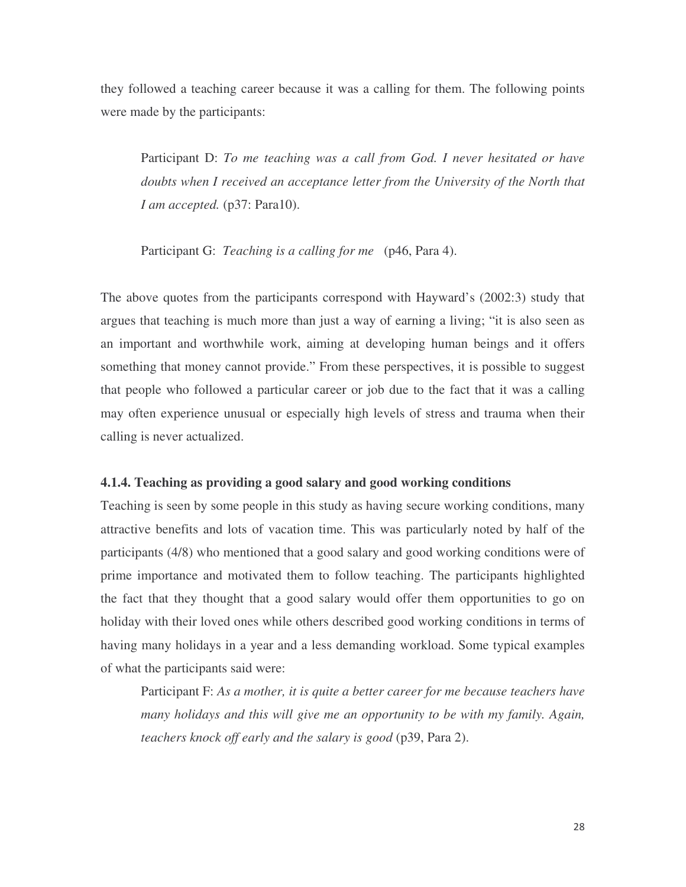they followed a teaching career because it was a calling for them. The following points were made by the participants:

Participant D: *To me teaching was a call from God. I never hesitated or have doubts when I received an acceptance letter from the University of the North that I am accepted.* (p37: Para10).

Participant G: *Teaching is a calling for me* (p46, Para 4).

The above quotes from the participants correspond with Hayward's (2002:3) study that argues that teaching is much more than just a way of earning a living; "it is also seen as an important and worthwhile work, aiming at developing human beings and it offers something that money cannot provide." From these perspectives, it is possible to suggest that people who followed a particular career or job due to the fact that it was a calling may often experience unusual or especially high levels of stress and trauma when their calling is never actualized.

#### **4.1.4. Teaching as providing a good salary and good working conditions**

Teaching is seen by some people in this study as having secure working conditions, many attractive benefits and lots of vacation time. This was particularly noted by half of the participants (4/8) who mentioned that a good salary and good working conditions were of prime importance and motivated them to follow teaching. The participants highlighted the fact that they thought that a good salary would offer them opportunities to go on holiday with their loved ones while others described good working conditions in terms of having many holidays in a year and a less demanding workload. Some typical examples of what the participants said were:

Participant F: *As a mother, it is quite a better career for me because teachers have many holidays and this will give me an opportunity to be with my family. Again, teachers knock off early and the salary is good* (p39, Para 2).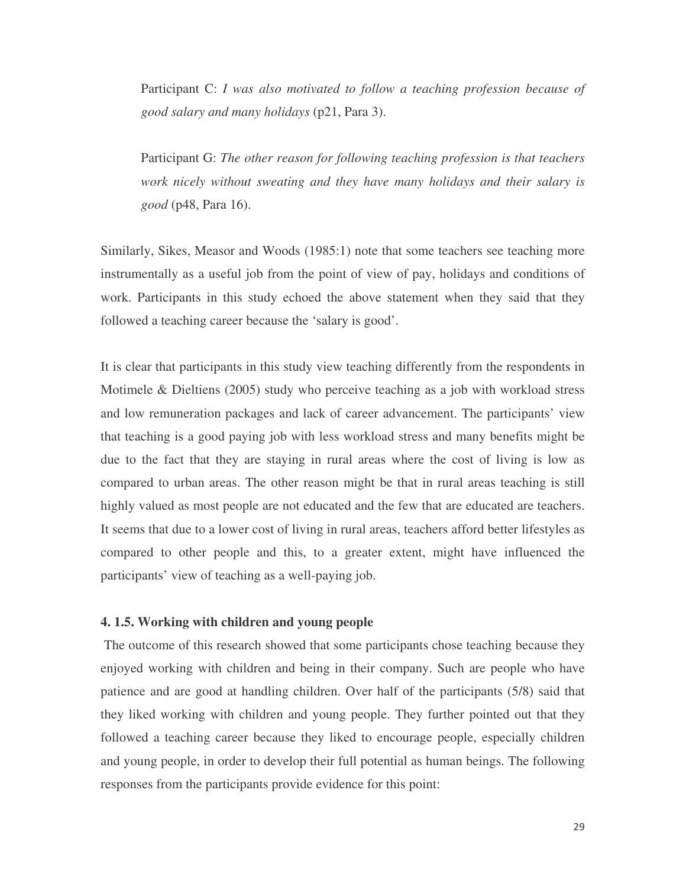Participant C: *I was also motivated to follow a teaching profession because of good salary and many holidays* (p21, Para 3).

Participant G: *The other reason for following teaching profession is that teachers work nicely without sweating and they have many holidays and their salary is good* (p48, Para 16).

Similarly, Sikes, Measor and Woods (1985:1) note that some teachers see teaching more instrumentally as a useful job from the point of view of pay, holidays and conditions of work. Participants in this study echoed the above statement when they said that they followed a teaching career because the 'salary is good'.

It is clear that participants in this study view teaching differently from the respondents in Motimele & Dieltiens (2005) study who perceive teaching as a job with workload stress and low remuneration packages and lack of career advancement. The participants' view that teaching is a good paying job with less workload stress and many benefits might be due to the fact that they are staying in rural areas where the cost of living is low as compared to urban areas. The other reason might be that in rural areas teaching is still highly valued as most people are not educated and the few that are educated are teachers. It seems that due to a lower cost of living in rural areas, teachers afford better lifestyles as compared to other people and this, to a greater extent, might have influenced the participants' view of teaching as a well-paying job.

# **4. 1.5. Working with children and young people**

The outcome of this research showed that some participants chose teaching because they enjoyed working with children and being in their company. Such are people who have patience and are good at handling children. Over half of the participants (5/8) said that they liked working with children and young people. They further pointed out that they followed a teaching career because they liked to encourage people, especially children and young people, in order to develop their full potential as human beings. The following responses from the participants provide evidence for this point: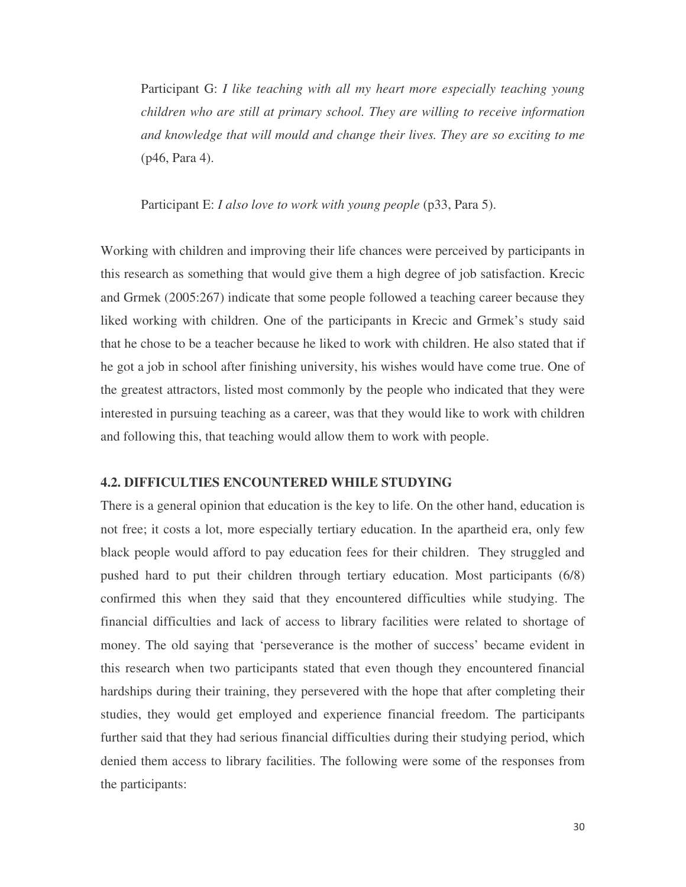Participant G: *I like teaching with all my heart more especially teaching young children who are still at primary school. They are willing to receive information and knowledge that will mould and change their lives. They are so exciting to me* (p46, Para 4).

Participant E: *I also love to work with young people* (p33, Para 5).

Working with children and improving their life chances were perceived by participants in this research as something that would give them a high degree of job satisfaction. Krecic and Grmek (2005:267) indicate that some people followed a teaching career because they liked working with children. One of the participants in Krecic and Grmek's study said that he chose to be a teacher because he liked to work with children. He also stated that if he got a job in school after finishing university, his wishes would have come true. One of the greatest attractors, listed most commonly by the people who indicated that they were interested in pursuing teaching as a career, was that they would like to work with children and following this, that teaching would allow them to work with people.

# **4.2. DIFFICULTIES ENCOUNTERED WHILE STUDYING**

There is a general opinion that education is the key to life. On the other hand, education is not free; it costs a lot, more especially tertiary education. In the apartheid era, only few black people would afford to pay education fees for their children. They struggled and pushed hard to put their children through tertiary education. Most participants (6/8) confirmed this when they said that they encountered difficulties while studying. The financial difficulties and lack of access to library facilities were related to shortage of money. The old saying that 'perseverance is the mother of success' became evident in this research when two participants stated that even though they encountered financial hardships during their training, they persevered with the hope that after completing their studies, they would get employed and experience financial freedom. The participants further said that they had serious financial difficulties during their studying period, which denied them access to library facilities. The following were some of the responses from the participants: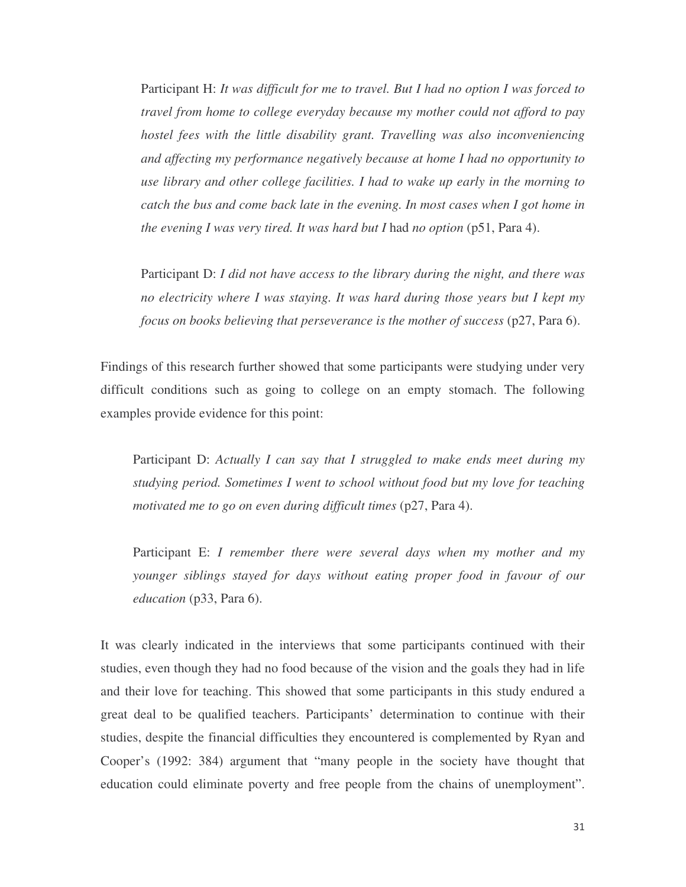Participant H: *It was difficult for me to travel. But I had no option I was forced to travel from home to college everyday because my mother could not afford to pay hostel fees with the little disability grant. Travelling was also inconveniencing and affecting my performance negatively because at home I had no opportunity to use library and other college facilities. I had to wake up early in the morning to catch the bus and come back late in the evening. In most cases when I got home in the evening I was very tired. It was hard but I* had *no option* (p51, Para 4).

Participant D: *I did not have access to the library during the night, and there was no electricity where I was staying. It was hard during those years but I kept my focus on books believing that perseverance is the mother of success* (p27, Para 6).

Findings of this research further showed that some participants were studying under very difficult conditions such as going to college on an empty stomach. The following examples provide evidence for this point:

Participant D: *Actually I can say that I struggled to make ends meet during my studying period. Sometimes I went to school without food but my love for teaching motivated me to go on even during difficult times* (p27, Para 4).

Participant E: *I remember there were several days when my mother and my younger siblings stayed for days without eating proper food in favour of our education* (p33, Para 6).

It was clearly indicated in the interviews that some participants continued with their studies, even though they had no food because of the vision and the goals they had in life and their love for teaching. This showed that some participants in this study endured a great deal to be qualified teachers. Participants' determination to continue with their studies, despite the financial difficulties they encountered is complemented by Ryan and Cooper's (1992: 384) argument that "many people in the society have thought that education could eliminate poverty and free people from the chains of unemployment".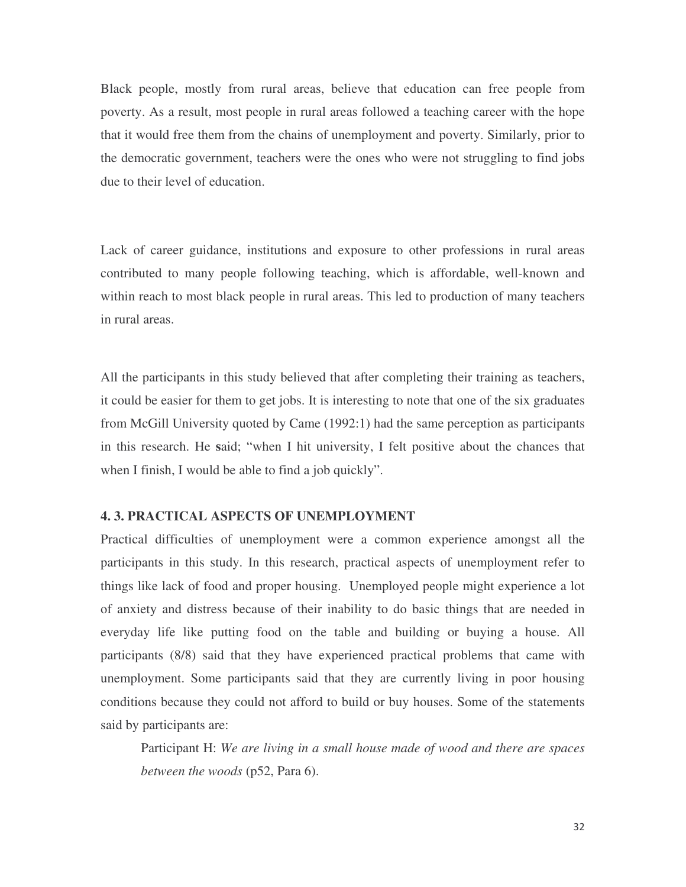Black people, mostly from rural areas, believe that education can free people from poverty. As a result, most people in rural areas followed a teaching career with the hope that it would free them from the chains of unemployment and poverty. Similarly, prior to the democratic government, teachers were the ones who were not struggling to find jobs due to their level of education.

Lack of career guidance, institutions and exposure to other professions in rural areas contributed to many people following teaching, which is affordable, well-known and within reach to most black people in rural areas. This led to production of many teachers in rural areas.

All the participants in this study believed that after completing their training as teachers, it could be easier for them to get jobs. It is interesting to note that one of the six graduates from McGill University quoted by Came (1992:1) had the same perception as participants in this research. He **s**aid; "when I hit university, I felt positive about the chances that when I finish, I would be able to find a job quickly".

# **4. 3. PRACTICAL ASPECTS OF UNEMPLOYMENT**

Practical difficulties of unemployment were a common experience amongst all the participants in this study. In this research, practical aspects of unemployment refer to things like lack of food and proper housing. Unemployed people might experience a lot of anxiety and distress because of their inability to do basic things that are needed in everyday life like putting food on the table and building or buying a house. All participants (8/8) said that they have experienced practical problems that came with unemployment. Some participants said that they are currently living in poor housing conditions because they could not afford to build or buy houses. Some of the statements said by participants are:

Participant H: *We are living in a small house made of wood and there are spaces between the woods* (p52, Para 6).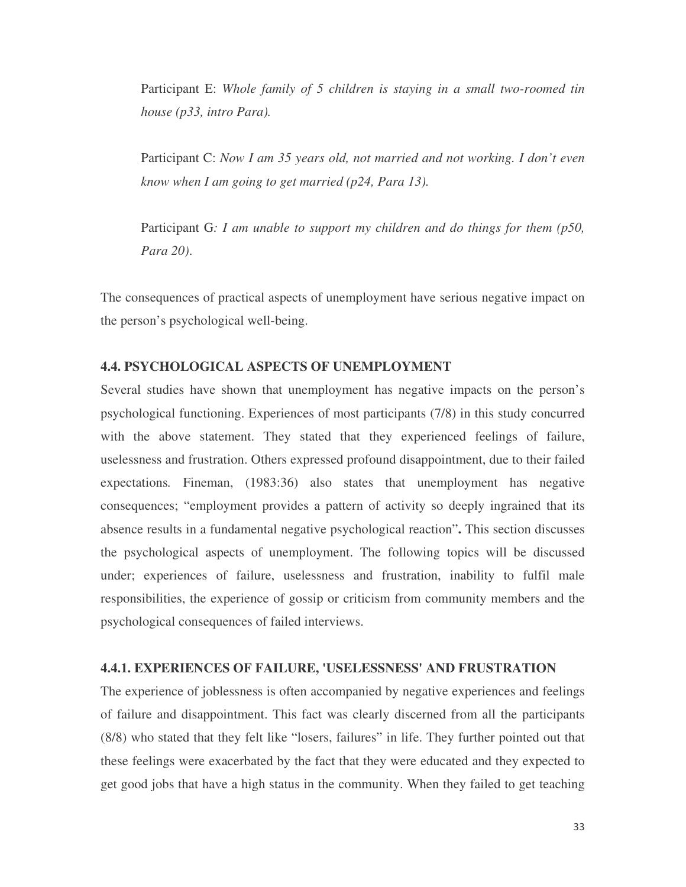Participant E: *Whole family of 5 children is staying in a small two-roomed tin house (p33, intro Para).*

Participant C: *Now I am 35 years old, not married and not working. I don't even know when I am going to get married (p24, Para 13).*

Participant G*: I am unable to support my children and do things for them (p50, Para 20)*.

The consequences of practical aspects of unemployment have serious negative impact on the person's psychological well-being.

# **4.4. PSYCHOLOGICAL ASPECTS OF UNEMPLOYMENT**

Several studies have shown that unemployment has negative impacts on the person's psychological functioning. Experiences of most participants (7/8) in this study concurred with the above statement. They stated that they experienced feelings of failure, uselessness and frustration. Others expressed profound disappointment, due to their failed expectations*.* Fineman, (1983:36) also states that unemployment has negative consequences; "employment provides a pattern of activity so deeply ingrained that its absence results in a fundamental negative psychological reaction"**.** This section discusses the psychological aspects of unemployment. The following topics will be discussed under; experiences of failure, uselessness and frustration, inability to fulfil male responsibilities, the experience of gossip or criticism from community members and the psychological consequences of failed interviews.

#### **4.4.1. EXPERIENCES OF FAILURE, 'USELESSNESS'AND FRUSTRATION**

The experience of joblessness is often accompanied by negative experiences and feelings of failure and disappointment. This fact was clearly discerned from all the participants (8/8) who stated that they felt like "losers, failures" in life. They further pointed out that these feelings were exacerbated by the fact that they were educated and they expected to get good jobs that have a high status in the community. When they failed to get teaching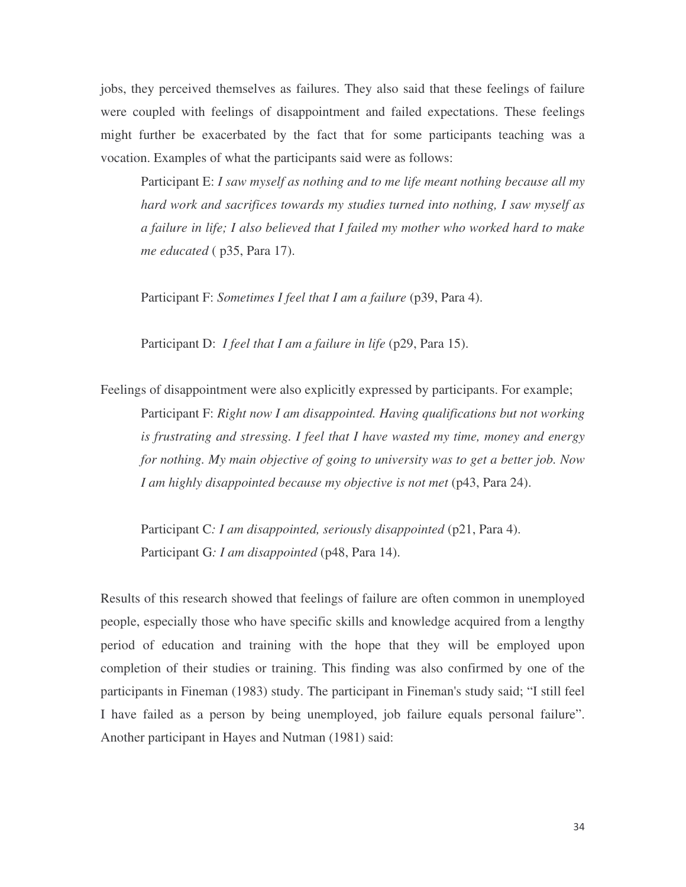jobs, they perceived themselves as failures. They also said that these feelings of failure were coupled with feelings of disappointment and failed expectations. These feelings might further be exacerbated by the fact that for some participants teaching was a vocation. Examples of what the participants said were as follows:

Participant E: *I saw myself as nothing and to me life meant nothing because all my hard work and sacrifices towards my studies turned into nothing, I saw myself as a failure in life; I also believed that I failed my mother who worked hard to make me educated* ( p35, Para 17).

Participant F: *Sometimes I feel that I am a failure* (p39, Para 4).

Participant D: *I feel that I am a failure in life* (p29, Para 15).

Feelings of disappointment were also explicitly expressed by participants. For example; Participant F: *Right now I am disappointed. Having qualifications but not working is frustrating and stressing. I feel that I have wasted my time, money and energy for nothing. My main objective of going to university was to get a better job. Now I am highly disappointed because my objective is not met* (p43, Para 24).

Participant C*: I am disappointed, seriously disappointed* (p21, Para 4). Participant G*: I am disappointed* (p48, Para 14).

Results of this research showed that feelings of failure are often common in unemployed people, especially those who have specific skills and knowledge acquired from a lengthy period of education and training with the hope that they will be employed upon completion of their studies or training. This finding was also confirmed by one of the participants in Fineman (1983) study. The participant in Fineman's study said; "I still feel I have failed as a person by being unemployed, job failure equals personal failure". Another participant in Hayes and Nutman (1981) said: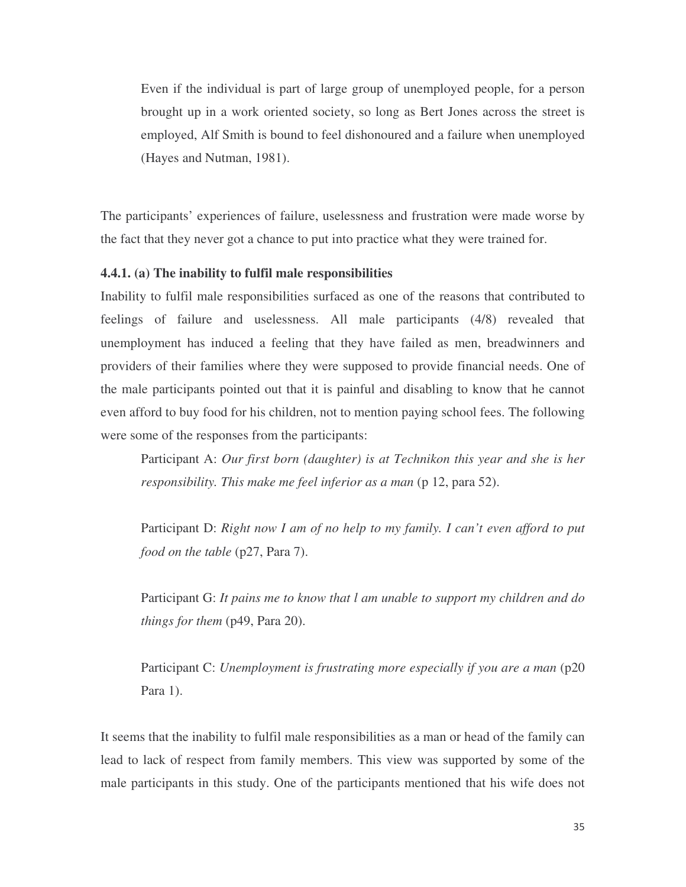Even if the individual is part of large group of unemployed people, for a person brought up in a work oriented society, so long as Bert Jones across the street is employed, Alf Smith is bound to feel dishonoured and a failure when unemployed (Hayes and Nutman, 1981).

The participants' experiences of failure, uselessness and frustration were made worse by the fact that they never got a chance to put into practice what they were trained for.

# **4.4.1. (a) The inability to fulfil male responsibilities**

Inability to fulfil male responsibilities surfaced as one of the reasons that contributed to feelings of failure and uselessness. All male participants (4/8) revealed that unemployment has induced a feeling that they have failed as men, breadwinners and providers of their families where they were supposed to provide financial needs. One of the male participants pointed out that it is painful and disabling to know that he cannot even afford to buy food for his children, not to mention paying school fees. The following were some of the responses from the participants:

Participant A: *Our first born (daughter) is at Technikon this year and she is her responsibility. This make me feel inferior as a man* (p 12, para 52).

Participant D: *Right now I am of no help to my family. I can't even afford to put food on the table* (p27, Para 7).

Participant G: *It pains me to know that l am unable to support my children and do things for them* (p49, Para 20).

Participant C: *Unemployment is frustrating more especially if you are a man* (p20 Para 1).

It seems that the inability to fulfil male responsibilities as a man or head of the family can lead to lack of respect from family members. This view was supported by some of the male participants in this study. One of the participants mentioned that his wife does not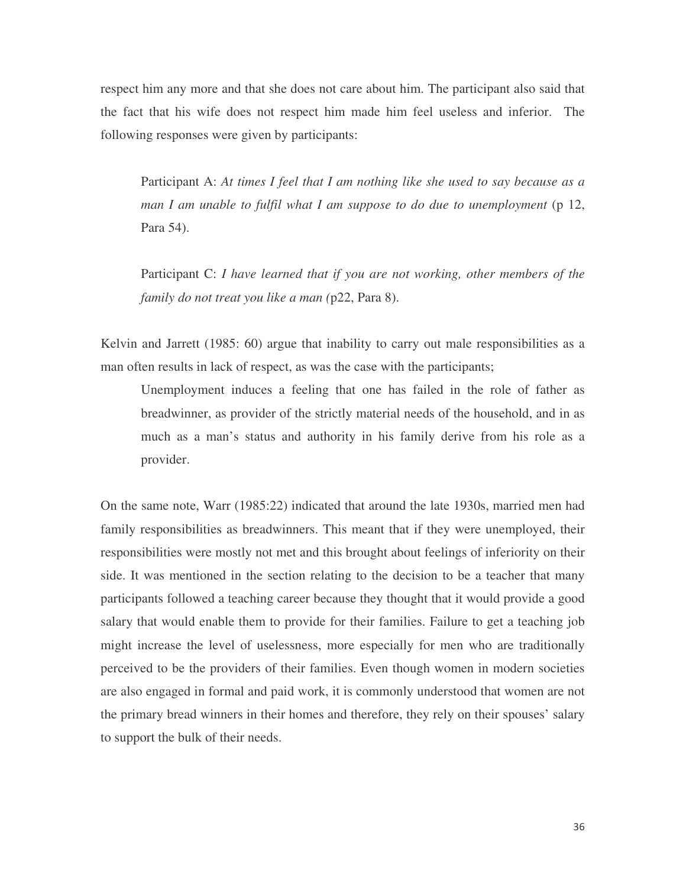respect him any more and that she does not care about him. The participant also said that the fact that his wife does not respect him made him feel useless and inferior. The following responses were given by participants:

Participant A: *At times I feel that I am nothing like she used to say because as a man I am unable to fulfil what I am suppose to do due to unemployment* (p 12, Para 54).

Participant C: *I have learned that if you are not working, other members of the family do not treat you like a man (*p22, Para 8).

Kelvin and Jarrett (1985: 60) argue that inability to carry out male responsibilities as a man often results in lack of respect, as was the case with the participants;

Unemployment induces a feeling that one has failed in the role of father as breadwinner, as provider of the strictly material needs of the household, and in as much as a man's status and authority in his family derive from his role as a provider.

On the same note, Warr (1985:22) indicated that around the late 1930s, married men had family responsibilities as breadwinners. This meant that if they were unemployed, their responsibilities were mostly not met and this brought about feelings of inferiority on their side. It was mentioned in the section relating to the decision to be a teacher that many participants followed a teaching career because they thought that it would provide a good salary that would enable them to provide for their families. Failure to get a teaching job might increase the level of uselessness, more especially for men who are traditionally perceived to be the providers of their families. Even though women in modern societies are also engaged in formal and paid work, it is commonly understood that women are not the primary bread winners in their homes and therefore, they rely on their spouses' salary to support the bulk of their needs.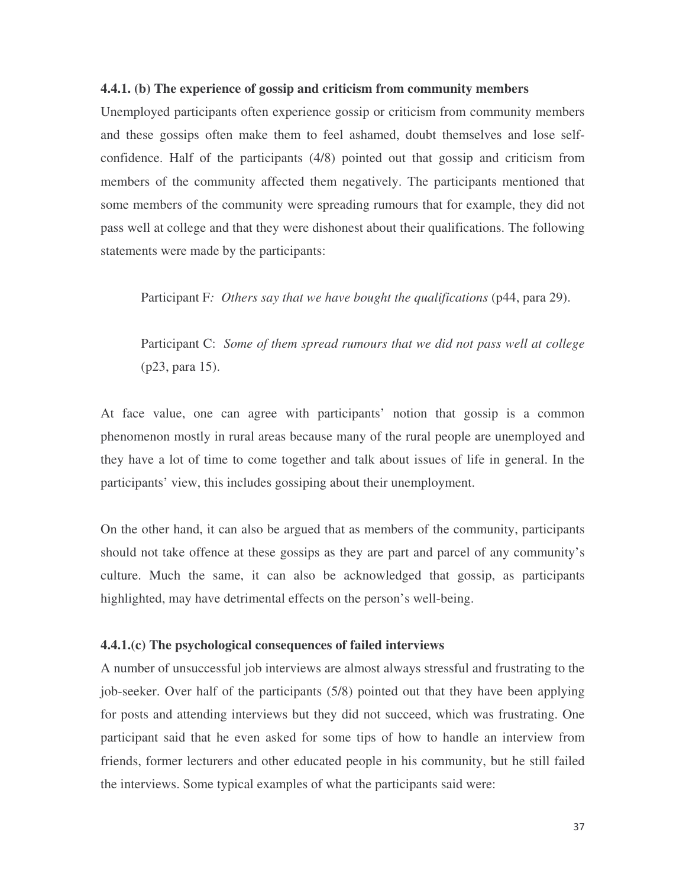#### **4.4.1. (b) The experience of gossip and criticism from community members**

Unemployed participants often experience gossip or criticism from community members and these gossips often make them to feel ashamed, doubt themselves and lose selfconfidence. Half of the participants (4/8) pointed out that gossip and criticism from members of the community affected them negatively. The participants mentioned that some members of the community were spreading rumours that for example, they did not pass well at college and that they were dishonest about their qualifications. The following statements were made by the participants:

Participant F*: Others say that we have bought the qualifications* (p44, para 29).

Participant C: *Some of them spread rumours that we did not pass well at college* (p23, para 15).

At face value, one can agree with participants' notion that gossip is a common phenomenon mostly in rural areas because many of the rural people are unemployed and they have a lot of time to come together and talk about issues of life in general. In the participants' view, this includes gossiping about their unemployment.

On the other hand, it can also be argued that as members of the community, participants should not take offence at these gossips as they are part and parcel of any community's culture. Much the same, it can also be acknowledged that gossip, as participants highlighted, may have detrimental effects on the person's well-being.

#### **4.4.1.(c) The psychological consequences of failed interviews**

A number of unsuccessful job interviews are almost always stressful and frustrating to the job-seeker. Over half of the participants (5/8) pointed out that they have been applying for posts and attending interviews but they did not succeed, which was frustrating. One participant said that he even asked for some tips of how to handle an interview from friends, former lecturers and other educated people in his community, but he still failed the interviews. Some typical examples of what the participants said were: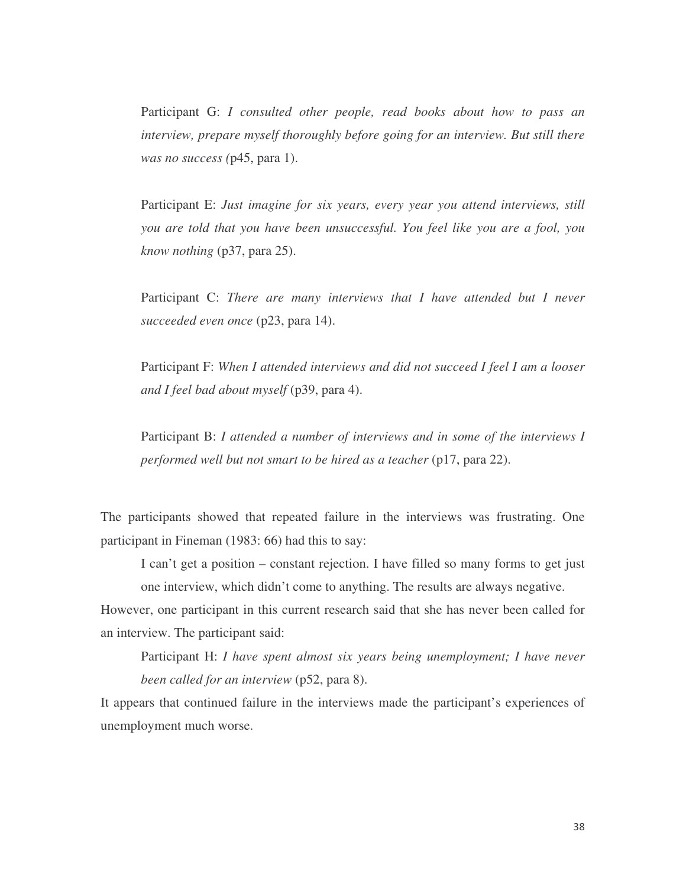Participant G: *I consulted other people, read books about how to pass an interview, prepare myself thoroughly before going for an interview. But still there was no success (*p45, para 1).

Participant E: *Just imagine for six years, every year you attend interviews, still you are told that you have been unsuccessful. You feel like you are a fool, you know nothing* (p37, para 25).

Participant C: *There are many interviews that I have attended but I never succeeded even once* (p23, para 14).

Participant F: *When I attended interviews and did not succeed I feel I am a looser and I feel bad about myself* (p39, para 4).

Participant B: *I attended a number of interviews and in some of the interviews I performed well but not smart to be hired as a teacher* (p17, para 22).

The participants showed that repeated failure in the interviews was frustrating. One participant in Fineman (1983: 66) had this to say:

I can't get a position – constant rejection. I have filled so many forms to get just one interview, which didn't come to anything. The results are always negative.

However, one participant in this current research said that she has never been called for an interview. The participant said:

Participant H: *I have spent almost six years being unemployment; I have never been called for an interview* (p52, para 8).

It appears that continued failure in the interviews made the participant's experiences of unemployment much worse.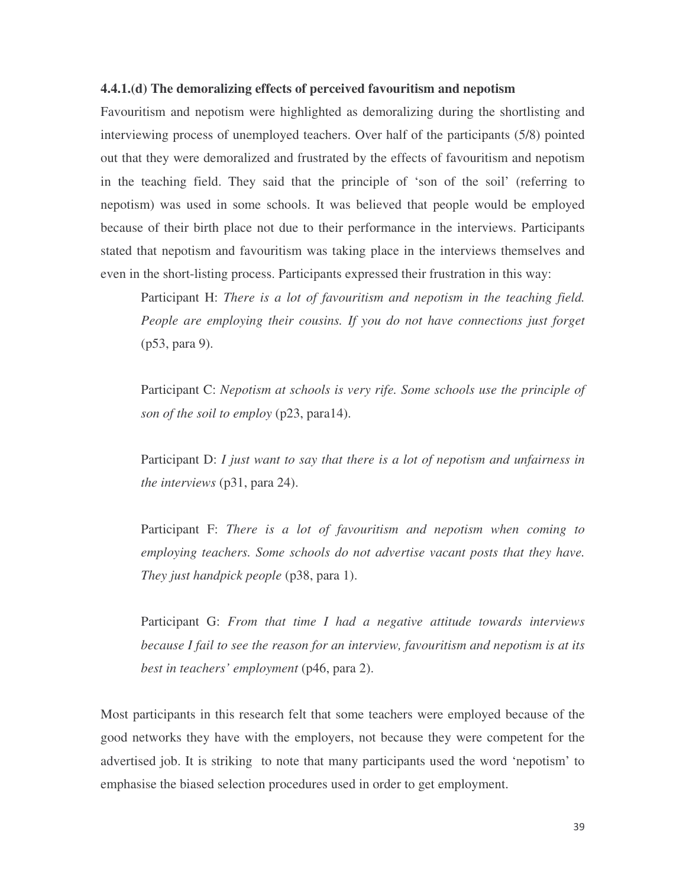#### **4.4.1.(d) The demoralizing effects of perceived favouritism and nepotism**

Favouritism and nepotism were highlighted as demoralizing during the shortlisting and interviewing process of unemployed teachers. Over half of the participants (5/8) pointed out that they were demoralized and frustrated by the effects of favouritism and nepotism in the teaching field. They said that the principle of 'son of the soil' (referring to nepotism) was used in some schools. It was believed that people would be employed because of their birth place not due to their performance in the interviews. Participants stated that nepotism and favouritism was taking place in the interviews themselves and even in the short-listing process. Participants expressed their frustration in this way:

Participant H: *There is a lot of favouritism and nepotism in the teaching field. People are employing their cousins. If you do not have connections just forget* (p53, para 9).

Participant C: *Nepotism at schools is very rife. Some schools use the principle of son of the soil to employ* (p23, para14).

Participant D: *I just want to say that there is a lot of nepotism and unfairness in the interviews* (p31, para 24).

Participant F: *There is a lot of favouritism and nepotism when coming to employing teachers. Some schools do not advertise vacant posts that they have. They just handpick people* (p38, para 1).

Participant G: *From that time I had a negative attitude towards interviews because I fail to see the reason for an interview, favouritism and nepotism is at its best in teachers' employment* (p46, para 2).

Most participants in this research felt that some teachers were employed because of the good networks they have with the employers, not because they were competent for the advertised job. It is striking to note that many participants used the word 'nepotism' to emphasise the biased selection procedures used in order to get employment.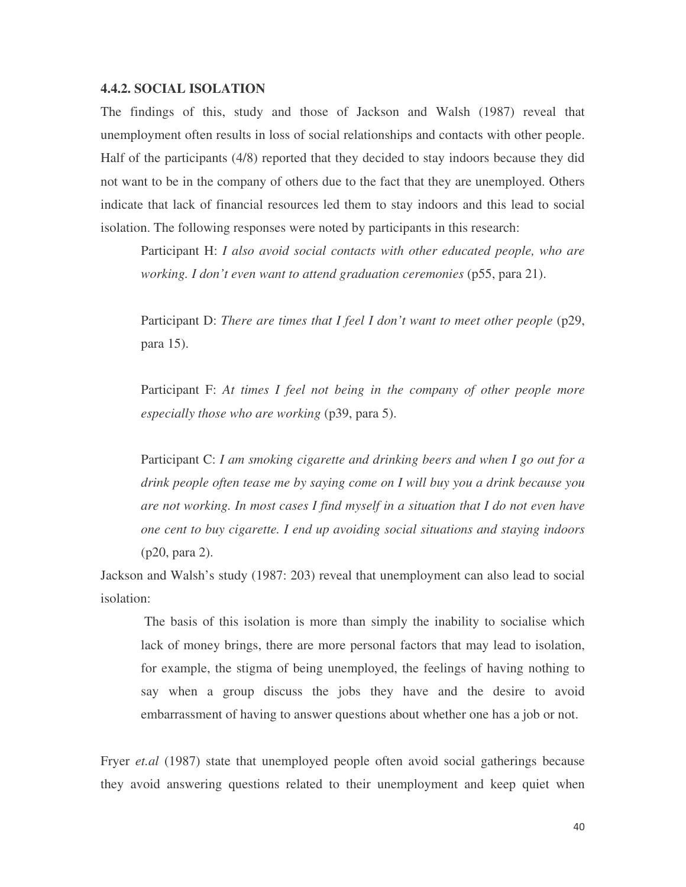#### **4.4.2. SOCIAL ISOLATION**

The findings of this, study and those of Jackson and Walsh (1987) reveal that unemployment often results in loss of social relationships and contacts with other people. Half of the participants (4/8) reported that they decided to stay indoors because they did not want to be in the company of others due to the fact that they are unemployed. Others indicate that lack of financial resources led them to stay indoors and this lead to social isolation. The following responses were noted by participants in this research:

Participant H: *I also avoid social contacts with other educated people, who are working. I don't even want to attend graduation ceremonies* (p55, para 21).

Participant D: *There are times that I feel I don't want to meet other people* (p29, para 15).

Participant F: *At times I feel not being in the company of other people more especially those who are working* (p39, para 5).

Participant C: *I am smoking cigarette and drinking beers and when I go out for a drink people often tease me by saying come on I will buy you a drink because you are not working. In most cases I find myself in a situation that I do not even have one cent to buy cigarette. I end up avoiding social situations and staying indoors* (p20, para 2).

Jackson and Walsh's study (1987: 203) reveal that unemployment can also lead to social isolation:

The basis of this isolation is more than simply the inability to socialise which lack of money brings, there are more personal factors that may lead to isolation, for example, the stigma of being unemployed, the feelings of having nothing to say when a group discuss the jobs they have and the desire to avoid embarrassment of having to answer questions about whether one has a job or not.

Fryer *et.al* (1987) state that unemployed people often avoid social gatherings because they avoid answering questions related to their unemployment and keep quiet when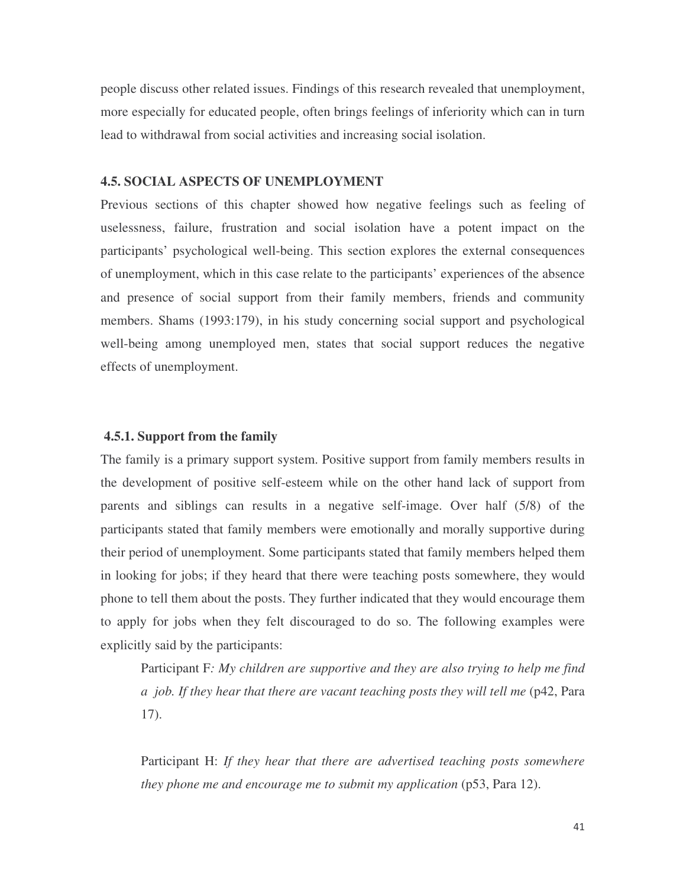people discuss other related issues. Findings of this research revealed that unemployment, more especially for educated people, often brings feelings of inferiority which can in turn lead to withdrawal from social activities and increasing social isolation.

#### **4.5. SOCIAL ASPECTS OF UNEMPLOYMENT**

Previous sections of this chapter showed how negative feelings such as feeling of uselessness, failure, frustration and social isolation have a potent impact on the participants' psychological well-being. This section explores the external consequences of unemployment, which in this case relate to the participants' experiences of the absence and presence of social support from their family members, friends and community members. Shams (1993:179), in his study concerning social support and psychological well-being among unemployed men, states that social support reduces the negative effects of unemployment.

# **4.5.1. Support from the family**

The family is a primary support system. Positive support from family members results in the development of positive self-esteem while on the other hand lack of support from parents and siblings can results in a negative self-image. Over half (5/8) of the participants stated that family members were emotionally and morally supportive during their period of unemployment. Some participants stated that family members helped them in looking for jobs; if they heard that there were teaching posts somewhere, they would phone to tell them about the posts. They further indicated that they would encourage them to apply for jobs when they felt discouraged to do so. The following examples were explicitly said by the participants:

Participant F*: My children are supportive and they are also trying to help me find a job. If they hear that there are vacant teaching posts they will tell me* (p42, Para 17).

Participant H: *If they hear that there are advertised teaching posts somewhere they phone me and encourage me to submit my application* (p53, Para 12).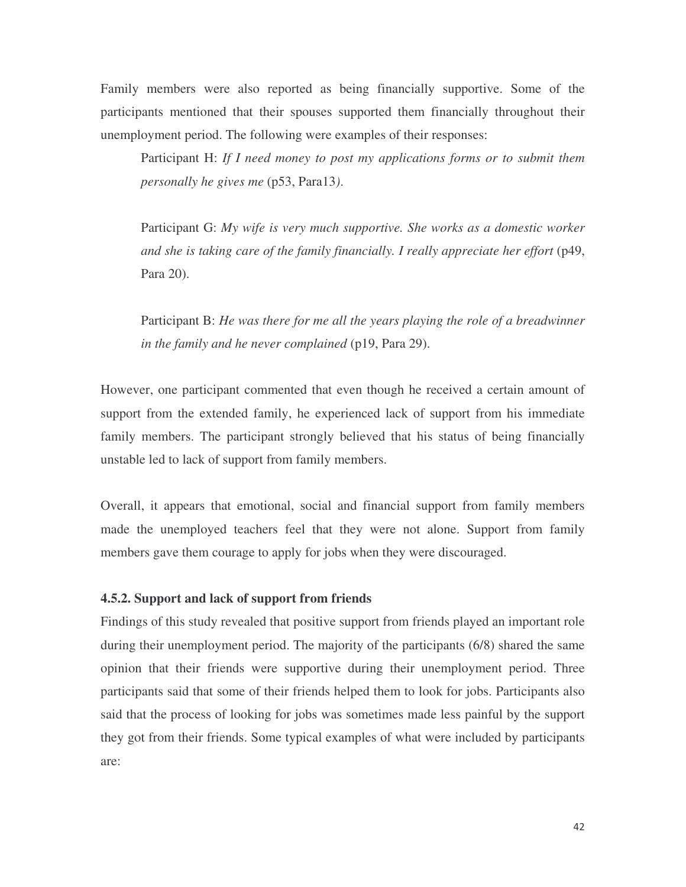Family members were also reported as being financially supportive. Some of the participants mentioned that their spouses supported them financially throughout their unemployment period. The following were examples of their responses:

Participant H: *If I need money to post my applications forms or to submit them personally he gives me* (p53, Para13*)*.

Participant G: *My wife is very much supportive. She works as a domestic worker and she is taking care of the family financially. I really appreciate her effort* (p49, Para 20).

Participant B: *He was there for me all the years playing the role of a breadwinner in the family and he never complained* (p19, Para 29).

However, one participant commented that even though he received a certain amount of support from the extended family, he experienced lack of support from his immediate family members. The participant strongly believed that his status of being financially unstable led to lack of support from family members.

Overall, it appears that emotional, social and financial support from family members made the unemployed teachers feel that they were not alone. Support from family members gave them courage to apply for jobs when they were discouraged.

# **4.5.2. Support and lack of support from friends**

Findings of this study revealed that positive support from friends played an important role during their unemployment period. The majority of the participants (6/8) shared the same opinion that their friends were supportive during their unemployment period. Three participants said that some of their friends helped them to look for jobs. Participants also said that the process of looking for jobs was sometimes made less painful by the support they got from their friends. Some typical examples of what were included by participants are: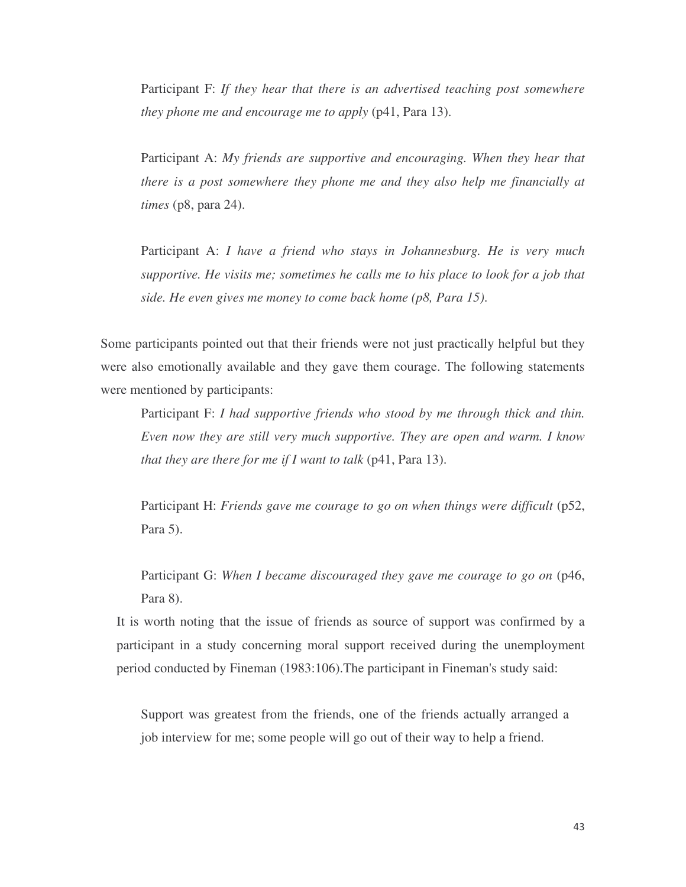Participant F: *If they hear that there is an advertised teaching post somewhere they phone me and encourage me to apply* (p41, Para 13).

Participant A: *My friends are supportive and encouraging. When they hear that there is a post somewhere they phone me and they also help me financially at times* (p8, para 24).

Participant A: *I have a friend who stays in Johannesburg. He is very much supportive. He visits me; sometimes he calls me to his place to look for a job that side. He even gives me money to come back home (p8, Para 15)*.

Some participants pointed out that their friends were not just practically helpful but they were also emotionally available and they gave them courage. The following statements were mentioned by participants:

Participant F: *I had supportive friends who stood by me through thick and thin. Even now they are still very much supportive. They are open and warm. I know that they are there for me if I want to talk* (p41, Para 13).

Participant H: *Friends gave me courage to go on when things were difficult* (p52, Para 5).

Participant G: *When I became discouraged they gave me courage to go on* (p46, Para 8).

It is worth noting that the issue of friends as source of support was confirmed by a participant in a study concerning moral support received during the unemployment period conducted by Fineman (1983:106).The participant in Fineman's study said:

Support was greatest from the friends, one of the friends actually arranged a job interview for me; some people will go out of their way to help a friend.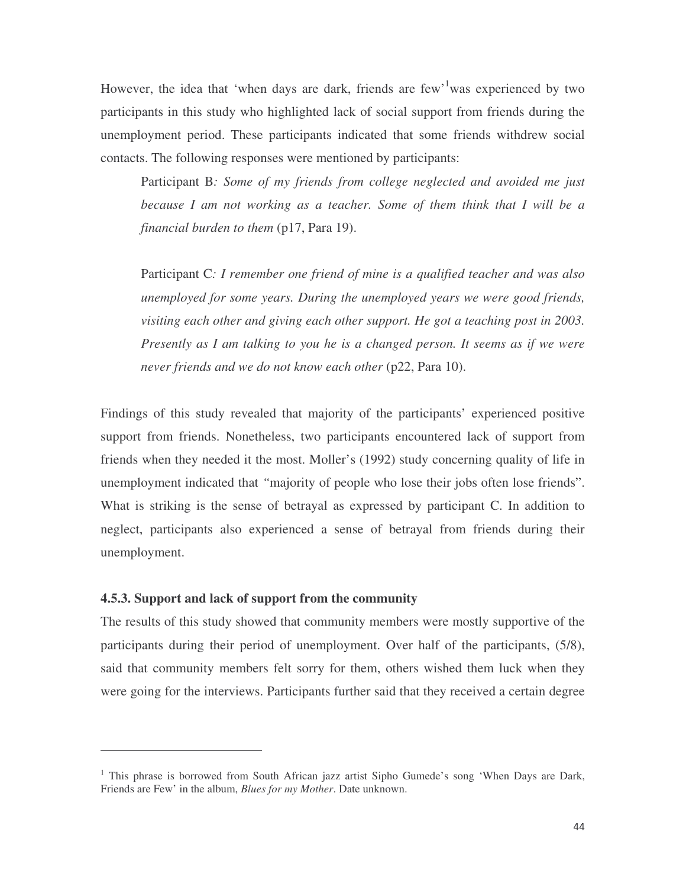However, the idea that 'when days are dark, friends are few'<sup>1</sup> was experienced by two participants in this study who highlighted lack of social support from friends during the unemployment period. These participants indicated that some friends withdrew social contacts. The following responses were mentioned by participants:

Participant B*: Some of my friends from college neglected and avoided me just because I am not working as a teacher. Some of them think that I will be a financial burden to them* (p17, Para 19).

Participant C*: I remember one friend of mine is a qualified teacher and was also unemployed for some years. During the unemployed years we were good friends, visiting each other and giving each other support. He got a teaching post in 2003. Presently as I am talking to you he is a changed person. It seems as if we were never friends and we do not know each other* (p22, Para 10).

Findings of this study revealed that majority of the participants' experienced positive support from friends. Nonetheless, two participants encountered lack of support from friends when they needed it the most. Moller's (1992) study concerning quality of life in unemployment indicated that *"*majority of people who lose their jobs often lose friends". What is striking is the sense of betrayal as expressed by participant C. In addition to neglect, participants also experienced a sense of betrayal from friends during their unemployment.

#### **4.5.3. Support and lack of support from the community**

<u> 1989 - Johann Stein, mars eta industrial eta industrial eta industrial eta industrial eta industrial eta in</u>

The results of this study showed that community members were mostly supportive of the participants during their period of unemployment. Over half of the participants, (5/8), said that community members felt sorry for them, others wished them luck when they were going for the interviews. Participants further said that they received a certain degree

<sup>&</sup>lt;sup>1</sup> This phrase is borrowed from South African jazz artist Sipho Gumede's song 'When Days are Dark, Friends are Few' in the album, *Blues for my Mother*. Date unknown.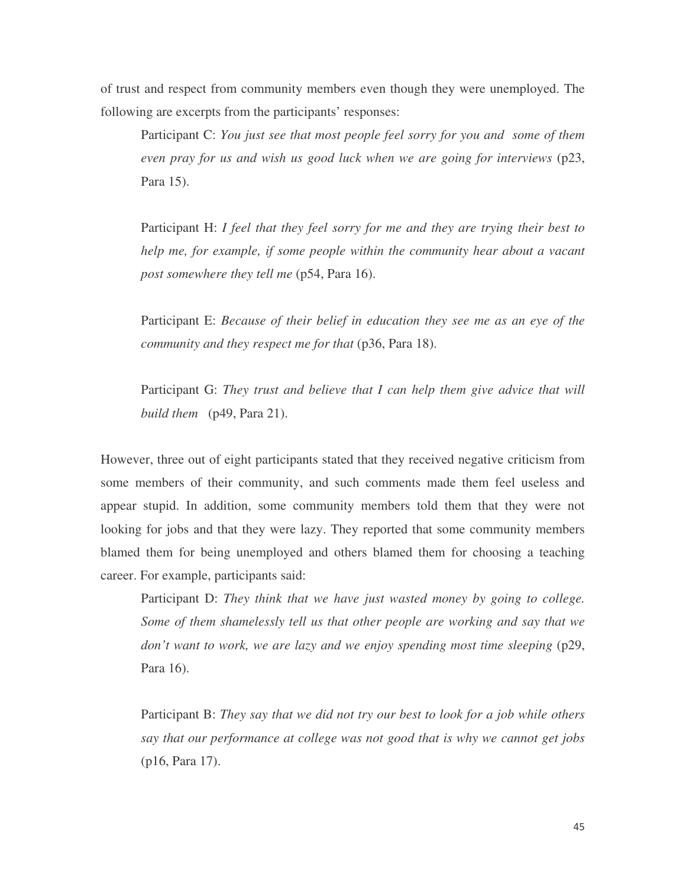of trust and respect from community members even though they were unemployed. The following are excerpts from the participants' responses:

Participant C: *You just see that most people feel sorry for you and some of them even pray for us and wish us good luck when we are going for interviews* (p23, Para 15).

Participant H: *I feel that they feel sorry for me and they are trying their best to help me, for example, if some people within the community hear about a vacant post somewhere they tell me* (p54, Para 16).

Participant E: *Because of their belief in education they see me as an eye of the community and they respect me for that* (p36, Para 18).

Participant G: *They trust and believe that I can help them give advice that will build them* (p49, Para 21).

However, three out of eight participants stated that they received negative criticism from some members of their community, and such comments made them feel useless and appear stupid. In addition, some community members told them that they were not looking for jobs and that they were lazy. They reported that some community members blamed them for being unemployed and others blamed them for choosing a teaching career. For example, participants said:

Participant D: *They think that we have just wasted money by going to college. Some of them shamelessly tell us that other people are working and say that we don't want to work, we are lazy and we enjoy spending most time sleeping* (p29, Para 16).

Participant B: *They say that we did not try our best to look for a job while others say that our performance at college was not good that is why we cannot get jobs* (p16, Para 17).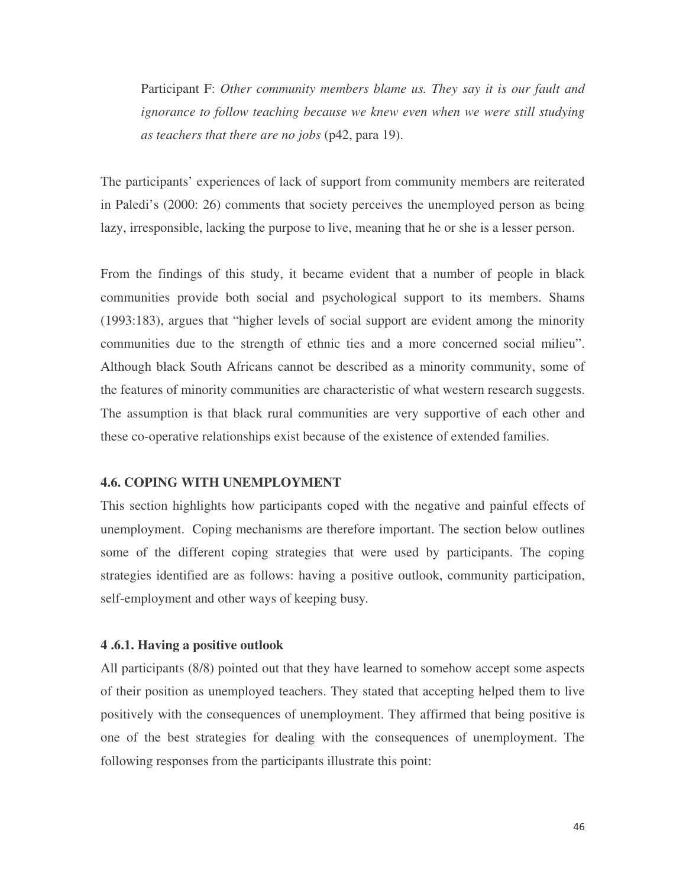Participant F: *Other community members blame us. They say it is our fault and ignorance to follow teaching because we knew even when we were still studying as teachers that there are no jobs* (p42, para 19).

The participants' experiences of lack of support from community members are reiterated in Paledi's (2000: 26) comments that society perceives the unemployed person as being lazy, irresponsible, lacking the purpose to live, meaning that he or she is a lesser person.

From the findings of this study, it became evident that a number of people in black communities provide both social and psychological support to its members. Shams (1993:183), argues that "higher levels of social support are evident among the minority communities due to the strength of ethnic ties and a more concerned social milieu". Although black South Africans cannot be described as a minority community, some of the features of minority communities are characteristic of what western research suggests. The assumption is that black rural communities are very supportive of each other and these co-operative relationships exist because of the existence of extended families.

#### **4.6. COPING WITH UNEMPLOYMENT**

This section highlights how participants coped with the negative and painful effects of unemployment. Coping mechanisms are therefore important. The section below outlines some of the different coping strategies that were used by participants. The coping strategies identified are as follows: having a positive outlook, community participation, self-employment and other ways of keeping busy*.*

#### **4 .6.1. Having a positive outlook**

All participants (8/8) pointed out that they have learned to somehow accept some aspects of their position as unemployed teachers. They stated that accepting helped them to live positively with the consequences of unemployment. They affirmed that being positive is one of the best strategies for dealing with the consequences of unemployment. The following responses from the participants illustrate this point: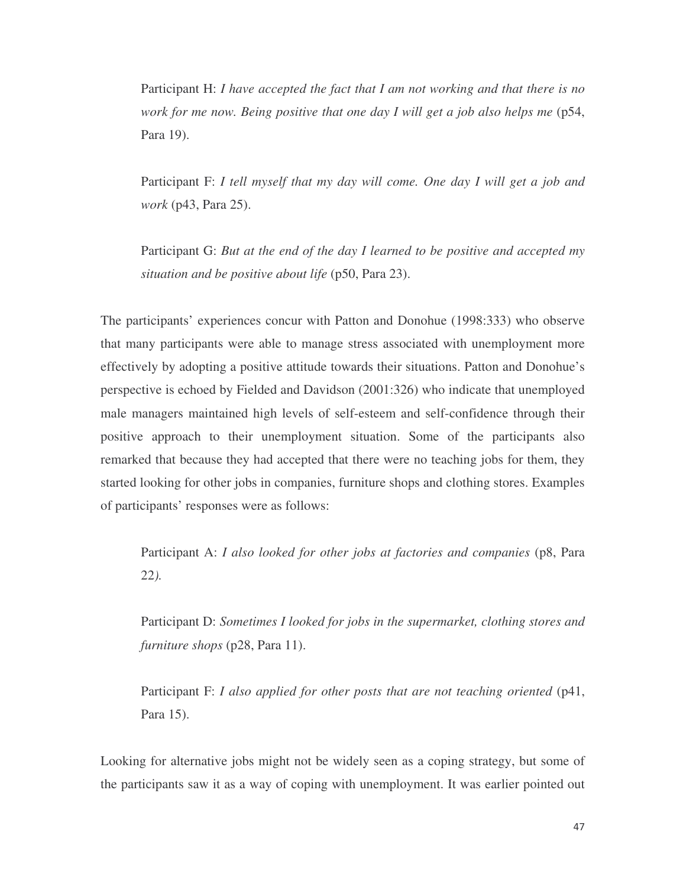Participant H: *I have accepted the fact that I am not working and that there is no work for me now. Being positive that one day I will get a job also helps me* (p54, Para 19).

Participant F: *I tell myself that my day will come. One day I will get a job and work* (p43, Para 25).

Participant G: *But at the end of the day I learned to be positive and accepted my situation and be positive about life* (p50, Para 23).

The participants' experiences concur with Patton and Donohue (1998:333) who observe that many participants were able to manage stress associated with unemployment more effectively by adopting a positive attitude towards their situations. Patton and Donohue's perspective is echoed by Fielded and Davidson (2001:326) who indicate that unemployed male managers maintained high levels of self-esteem and self-confidence through their positive approach to their unemployment situation. Some of the participants also remarked that because they had accepted that there were no teaching jobs for them, they started looking for other jobs in companies, furniture shops and clothing stores. Examples of participants' responses were as follows:

Participant A: *I also looked for other jobs at factories and companies* (p8, Para 22*).*

Participant D: *Sometimes I looked for jobs in the supermarket, clothing stores and furniture shops* (p28, Para 11).

Participant F: *I also applied for other posts that are not teaching oriented* (p41, Para 15).

Looking for alternative jobs might not be widely seen as a coping strategy, but some of the participants saw it as a way of coping with unemployment. It was earlier pointed out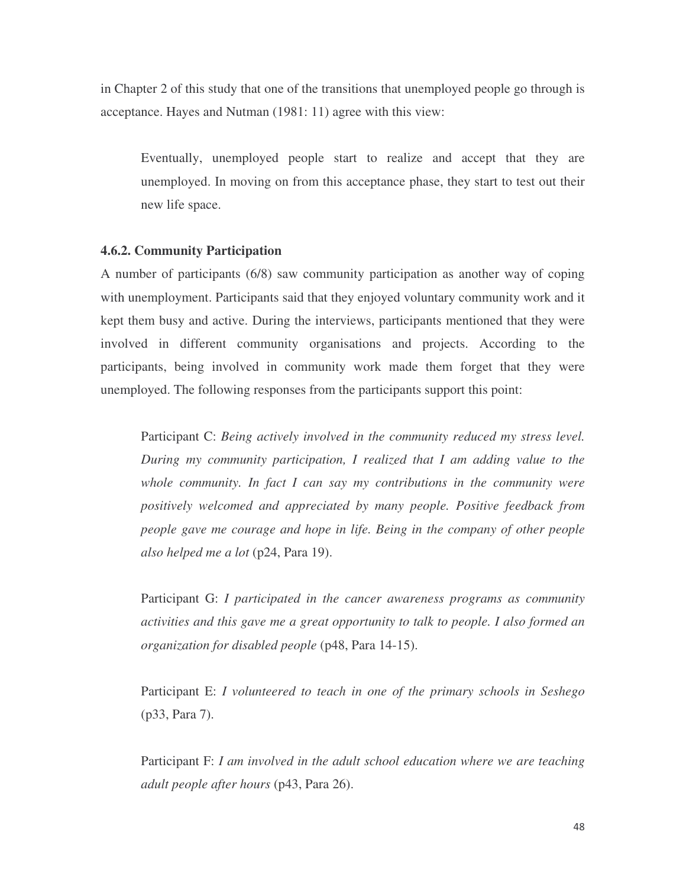in Chapter 2 of this study that one of the transitions that unemployed people go through is acceptance. Hayes and Nutman (1981: 11) agree with this view:

Eventually, unemployed people start to realize and accept that they are unemployed. In moving on from this acceptance phase, they start to test out their new life space.

#### **4.6.2. Community Participation**

A number of participants (6/8) saw community participation as another way of coping with unemployment. Participants said that they enjoyed voluntary community work and it kept them busy and active. During the interviews, participants mentioned that they were involved in different community organisations and projects. According to the participants, being involved in community work made them forget that they were unemployed. The following responses from the participants support this point:

Participant C: *Being actively involved in the community reduced my stress level. During my community participation, I realized that I am adding value to the whole community. In fact I can say my contributions in the community were positively welcomed and appreciated by many people. Positive feedback from people gave me courage and hope in life. Being in the company of other people also helped me a lot* (p24, Para 19).

Participant G: *I participated in the cancer awareness programs as community activities and this gave me a great opportunity to talk to people. I also formed an organization for disabled people* (p48, Para 14-15).

Participant E: *I volunteered to teach in one of the primary schools in Seshego* (p33, Para 7).

Participant F: *I am involved in the adult school education where we are teaching adult people after hours* (p43, Para 26).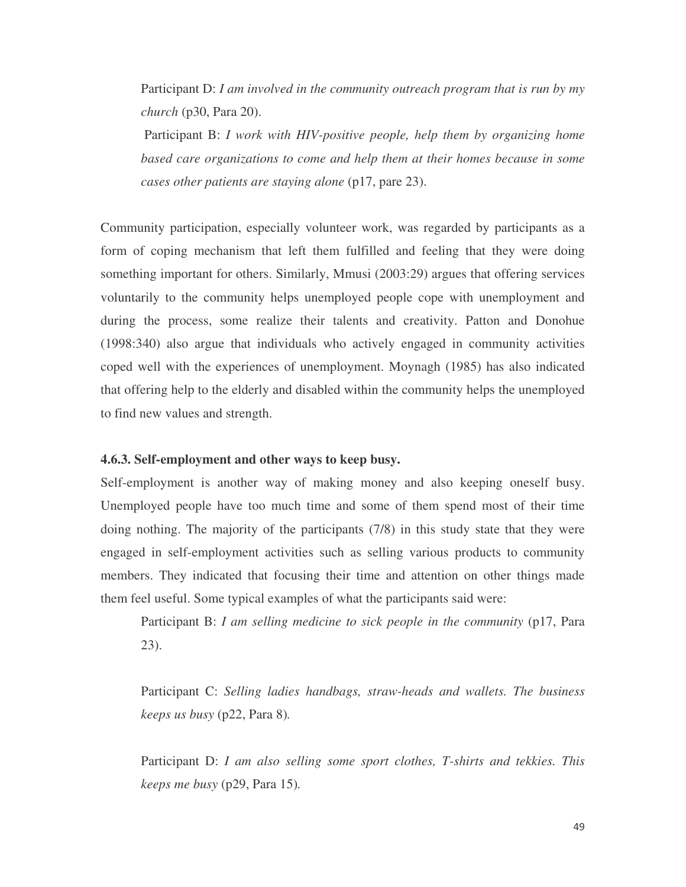Participant D: *I am involved in the community outreach program that is run by my church* (p30, Para 20).

Participant B: *I work with HIV-positive people, help them by organizing home based care organizations to come and help them at their homes because in some cases other patients are staying alone* (p17, pare 23).

Community participation, especially volunteer work, was regarded by participants as a form of coping mechanism that left them fulfilled and feeling that they were doing something important for others. Similarly, Mmusi (2003:29) argues that offering services voluntarily to the community helps unemployed people cope with unemployment and during the process, some realize their talents and creativity. Patton and Donohue (1998:340) also argue that individuals who actively engaged in community activities coped well with the experiences of unemployment. Moynagh (1985) has also indicated that offering help to the elderly and disabled within the community helps the unemployed to find new values and strength.

# **4.6.3. Self-employment and other ways to keep busy.**

Self-employment is another way of making money and also keeping oneself busy. Unemployed people have too much time and some of them spend most of their time doing nothing. The majority of the participants (7/8) in this study state that they were engaged in self-employment activities such as selling various products to community members. They indicated that focusing their time and attention on other things made them feel useful. Some typical examples of what the participants said were:

Participant B: *I am selling medicine to sick people in the community* (p17, Para 23).

Participant C: *Selling ladies handbags, straw-heads and wallets. The business keeps us busy* (p22, Para 8)*.*

Participant D: *I am also selling some sport clothes, T-shirts and tekkies. This keeps me busy* (p29, Para 15)*.*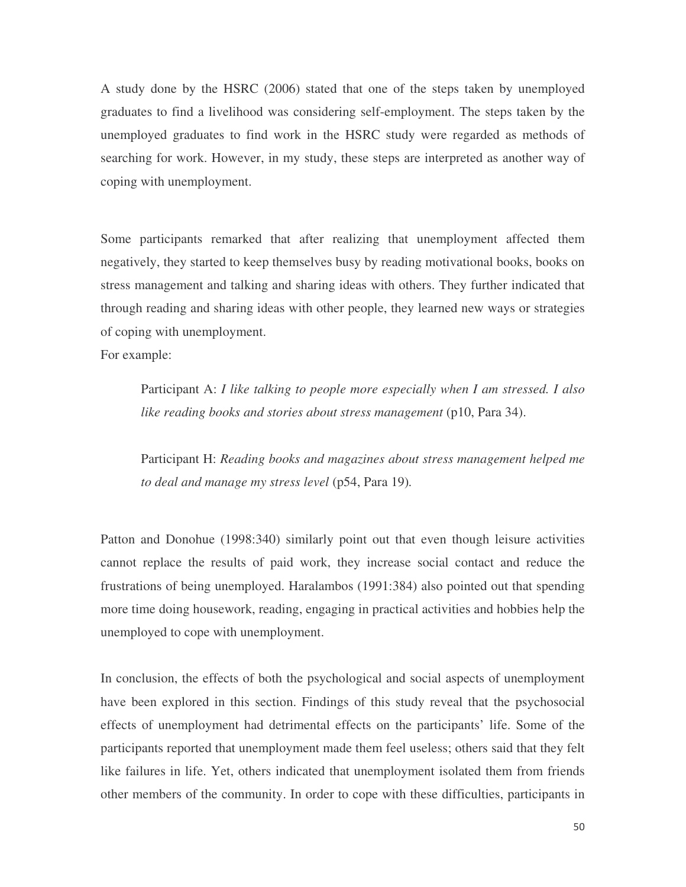A study done by the HSRC (2006) stated that one of the steps taken by unemployed graduates to find a livelihood was considering self-employment. The steps taken by the unemployed graduates to find work in the HSRC study were regarded as methods of searching for work. However, in my study, these steps are interpreted as another way of coping with unemployment.

Some participants remarked that after realizing that unemployment affected them negatively, they started to keep themselves busy by reading motivational books, books on stress management and talking and sharing ideas with others. They further indicated that through reading and sharing ideas with other people, they learned new ways or strategies of coping with unemployment.

For example:

Participant A: *I like talking to people more especially when I am stressed. I also like reading books and stories about stress management* (p10, Para 34).

Participant H: *Reading books and magazines about stress management helped me to deal and manage my stress level* (p54, Para 19)*.*

Patton and Donohue (1998:340) similarly point out that even though leisure activities cannot replace the results of paid work, they increase social contact and reduce the frustrations of being unemployed. Haralambos (1991:384) also pointed out that spending more time doing housework, reading, engaging in practical activities and hobbies help the unemployed to cope with unemployment.

In conclusion, the effects of both the psychological and social aspects of unemployment have been explored in this section. Findings of this study reveal that the psychosocial effects of unemployment had detrimental effects on the participants' life. Some of the participants reported that unemployment made them feel useless; others said that they felt like failures in life. Yet, others indicated that unemployment isolated them from friends other members of the community. In order to cope with these difficulties, participants in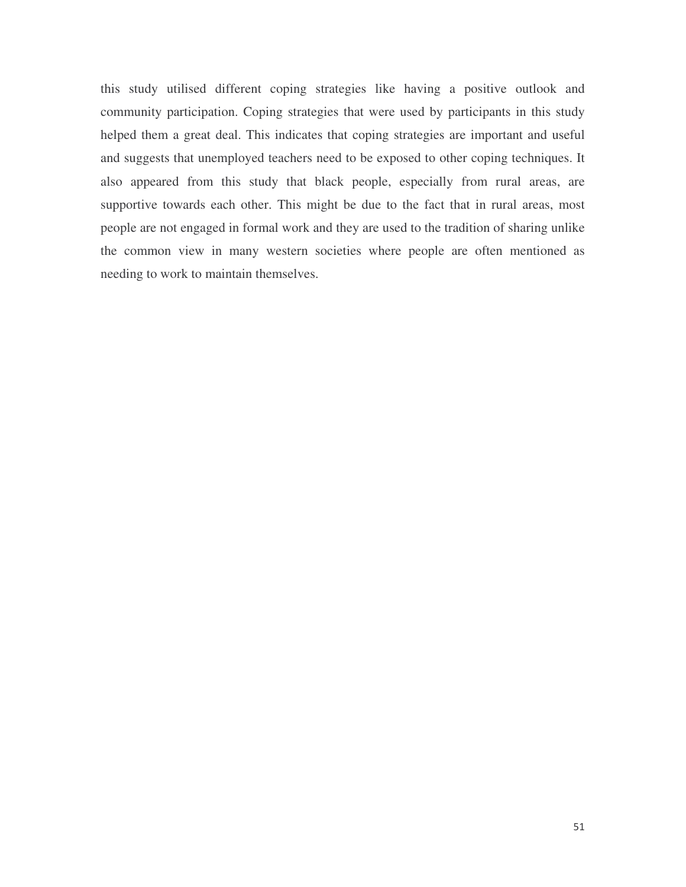this study utilised different coping strategies like having a positive outlook and community participation. Coping strategies that were used by participants in this study helped them a great deal. This indicates that coping strategies are important and useful and suggests that unemployed teachers need to be exposed to other coping techniques. It also appeared from this study that black people, especially from rural areas, are supportive towards each other. This might be due to the fact that in rural areas, most people are not engaged in formal work and they are used to the tradition of sharing unlike the common view in many western societies where people are often mentioned as needing to work to maintain themselves.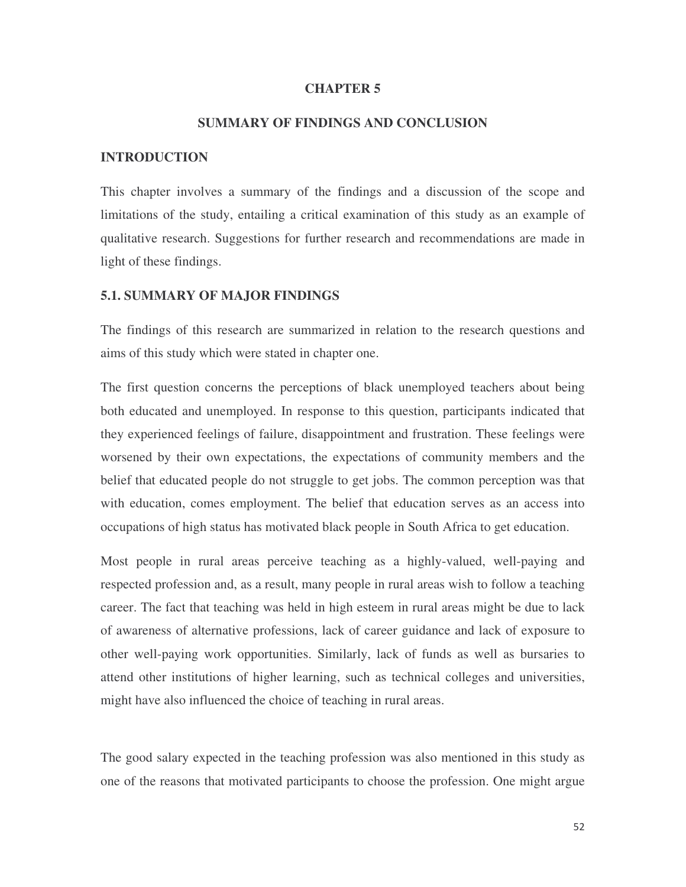#### **CHAPTER 5**

# **SUMMARY OF FINDINGS AND CONCLUSION**

#### **INTRODUCTION**

This chapter involves a summary of the findings and a discussion of the scope and limitations of the study, entailing a critical examination of this study as an example of qualitative research. Suggestions for further research and recommendations are made in light of these findings.

### **5.1. SUMMARY OF MAJOR FINDINGS**

The findings of this research are summarized in relation to the research questions and aims of this study which were stated in chapter one.

The first question concerns the perceptions of black unemployed teachers about being both educated and unemployed. In response to this question, participants indicated that they experienced feelings of failure, disappointment and frustration. These feelings were worsened by their own expectations, the expectations of community members and the belief that educated people do not struggle to get jobs. The common perception was that with education, comes employment. The belief that education serves as an access into occupations of high status has motivated black people in South Africa to get education.

Most people in rural areas perceive teaching as a highly-valued, well-paying and respected profession and, as a result, many people in rural areas wish to follow a teaching career. The fact that teaching was held in high esteem in rural areas might be due to lack of awareness of alternative professions, lack of career guidance and lack of exposure to other well-paying work opportunities. Similarly, lack of funds as well as bursaries to attend other institutions of higher learning, such as technical colleges and universities, might have also influenced the choice of teaching in rural areas.

The good salary expected in the teaching profession was also mentioned in this study as one of the reasons that motivated participants to choose the profession. One might argue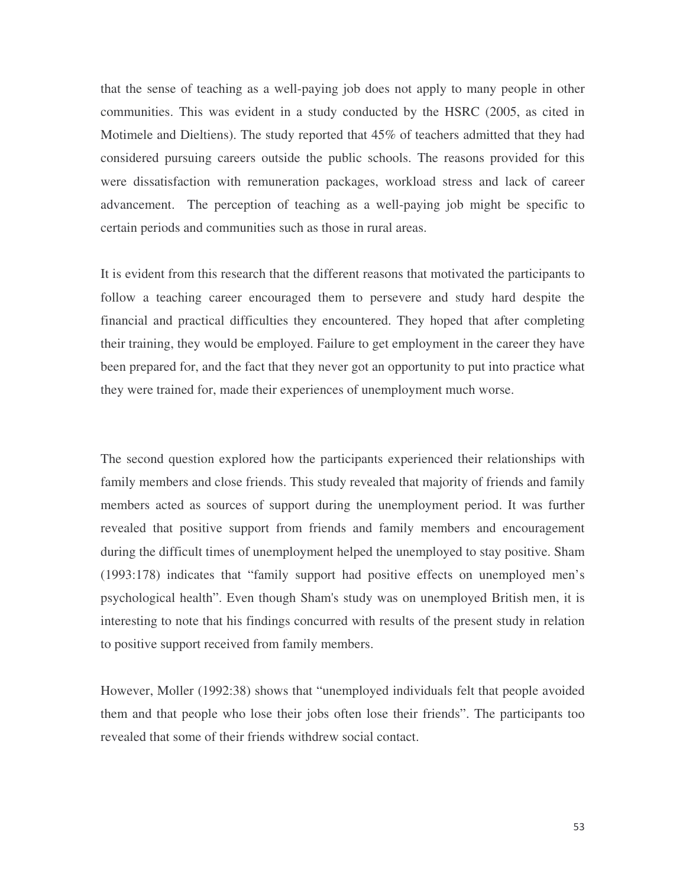that the sense of teaching as a well-paying job does not apply to many people in other communities. This was evident in a study conducted by the HSRC (2005, as cited in Motimele and Dieltiens). The study reported that 45% of teachers admitted that they had considered pursuing careers outside the public schools. The reasons provided for this were dissatisfaction with remuneration packages, workload stress and lack of career advancement. The perception of teaching as a well-paying job might be specific to certain periods and communities such as those in rural areas.

It is evident from this research that the different reasons that motivated the participants to follow a teaching career encouraged them to persevere and study hard despite the financial and practical difficulties they encountered. They hoped that after completing their training, they would be employed. Failure to get employment in the career they have been prepared for, and the fact that they never got an opportunity to put into practice what they were trained for, made their experiences of unemployment much worse.

The second question explored how the participants experienced their relationships with family members and close friends. This study revealed that majority of friends and family members acted as sources of support during the unemployment period. It was further revealed that positive support from friends and family members and encouragement during the difficult times of unemployment helped the unemployed to stay positive. Sham (1993:178) indicates that "family support had positive effects on unemployed men's psychological health". Even though Sham's study was on unemployed British men, it is interesting to note that his findings concurred with results of the present study in relation to positive support received from family members.

However, Moller (1992:38) shows that "unemployed individuals felt that people avoided them and that people who lose their jobs often lose their friends". The participants too revealed that some of their friends withdrew social contact.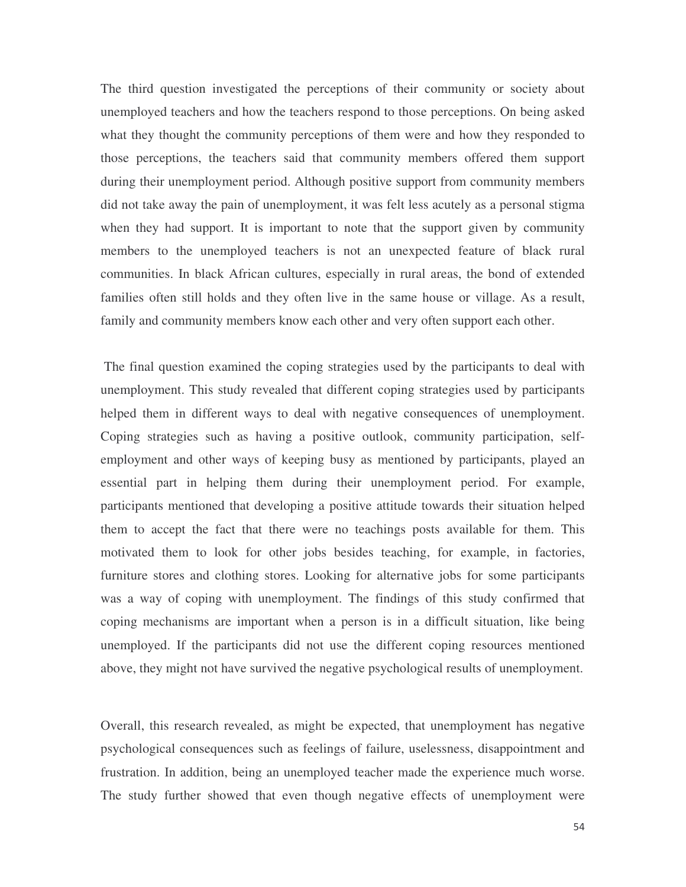The third question investigated the perceptions of their community or society about unemployed teachers and how the teachers respond to those perceptions. On being asked what they thought the community perceptions of them were and how they responded to those perceptions, the teachers said that community members offered them support during their unemployment period. Although positive support from community members did not take away the pain of unemployment, it was felt less acutely as a personal stigma when they had support. It is important to note that the support given by community members to the unemployed teachers is not an unexpected feature of black rural communities. In black African cultures, especially in rural areas, the bond of extended families often still holds and they often live in the same house or village. As a result, family and community members know each other and very often support each other.

The final question examined the coping strategies used by the participants to deal with unemployment. This study revealed that different coping strategies used by participants helped them in different ways to deal with negative consequences of unemployment. Coping strategies such as having a positive outlook, community participation, selfemployment and other ways of keeping busy as mentioned by participants, played an essential part in helping them during their unemployment period. For example, participants mentioned that developing a positive attitude towards their situation helped them to accept the fact that there were no teachings posts available for them. This motivated them to look for other jobs besides teaching, for example, in factories, furniture stores and clothing stores. Looking for alternative jobs for some participants was a way of coping with unemployment. The findings of this study confirmed that coping mechanisms are important when a person is in a difficult situation, like being unemployed. If the participants did not use the different coping resources mentioned above, they might not have survived the negative psychological results of unemployment.

Overall, this research revealed, as might be expected, that unemployment has negative psychological consequences such as feelings of failure, uselessness, disappointment and frustration. In addition, being an unemployed teacher made the experience much worse. The study further showed that even though negative effects of unemployment were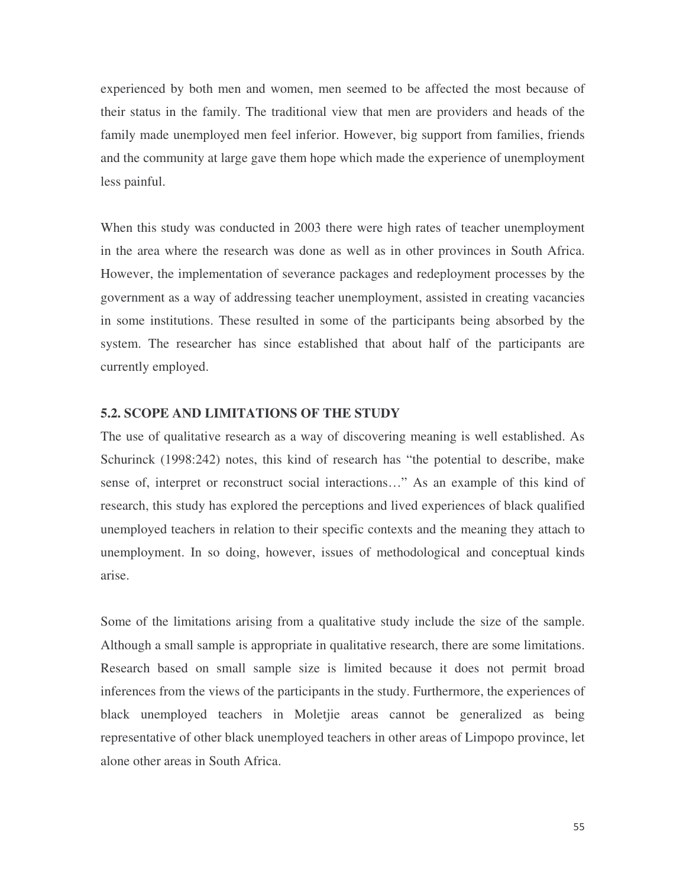experienced by both men and women, men seemed to be affected the most because of their status in the family. The traditional view that men are providers and heads of the family made unemployed men feel inferior. However, big support from families, friends and the community at large gave them hope which made the experience of unemployment less painful.

When this study was conducted in 2003 there were high rates of teacher unemployment in the area where the research was done as well as in other provinces in South Africa. However, the implementation of severance packages and redeployment processes by the government as a way of addressing teacher unemployment, assisted in creating vacancies in some institutions. These resulted in some of the participants being absorbed by the system. The researcher has since established that about half of the participants are currently employed.

# **5.2. SCOPE AND LIMITATIONS OF THE STUDY**

The use of qualitative research as a way of discovering meaning is well established. As Schurinck (1998:242) notes, this kind of research has "the potential to describe, make sense of, interpret or reconstruct social interactions…" As an example of this kind of research, this study has explored the perceptions and lived experiences of black qualified unemployed teachers in relation to their specific contexts and the meaning they attach to unemployment. In so doing, however, issues of methodological and conceptual kinds arise.

Some of the limitations arising from a qualitative study include the size of the sample. Although a small sample is appropriate in qualitative research, there are some limitations. Research based on small sample size is limited because it does not permit broad inferences from the views of the participants in the study. Furthermore, the experiences of black unemployed teachers in Moletjie areas cannot be generalized as being representative of other black unemployed teachers in other areas of Limpopo province, let alone other areas in South Africa.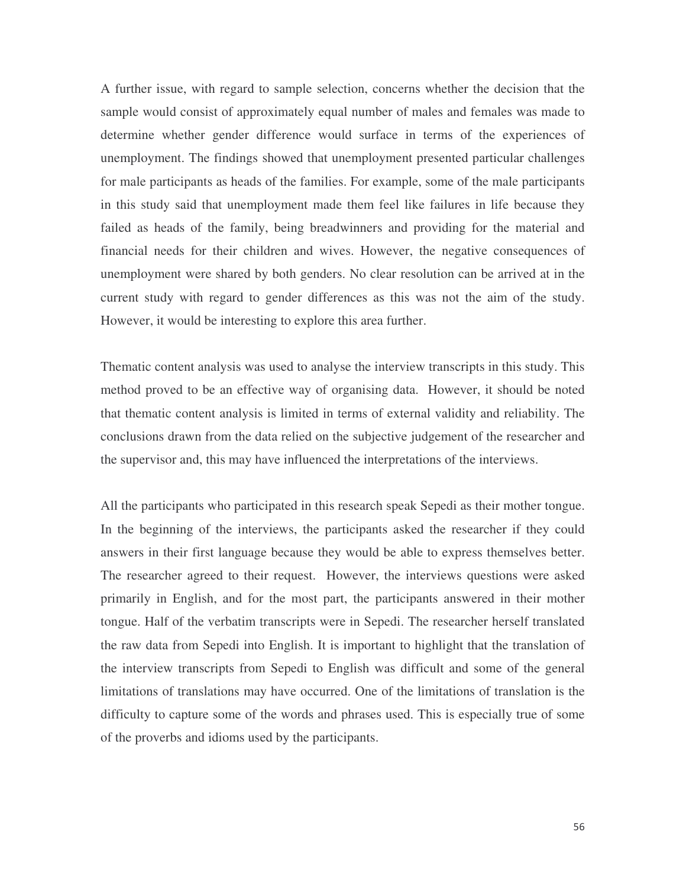A further issue, with regard to sample selection, concerns whether the decision that the sample would consist of approximately equal number of males and females was made to determine whether gender difference would surface in terms of the experiences of unemployment. The findings showed that unemployment presented particular challenges for male participants as heads of the families. For example, some of the male participants in this study said that unemployment made them feel like failures in life because they failed as heads of the family, being breadwinners and providing for the material and financial needs for their children and wives. However, the negative consequences of unemployment were shared by both genders. No clear resolution can be arrived at in the current study with regard to gender differences as this was not the aim of the study. However, it would be interesting to explore this area further.

Thematic content analysis was used to analyse the interview transcripts in this study. This method proved to be an effective way of organising data. However, it should be noted that thematic content analysis is limited in terms of external validity and reliability. The conclusions drawn from the data relied on the subjective judgement of the researcher and the supervisor and, this may have influenced the interpretations of the interviews.

All the participants who participated in this research speak Sepedi as their mother tongue. In the beginning of the interviews, the participants asked the researcher if they could answers in their first language because they would be able to express themselves better. The researcher agreed to their request. However, the interviews questions were asked primarily in English, and for the most part, the participants answered in their mother tongue. Half of the verbatim transcripts were in Sepedi. The researcher herself translated the raw data from Sepedi into English. It is important to highlight that the translation of the interview transcripts from Sepedi to English was difficult and some of the general limitations of translations may have occurred. One of the limitations of translation is the difficulty to capture some of the words and phrases used. This is especially true of some of the proverbs and idioms used by the participants.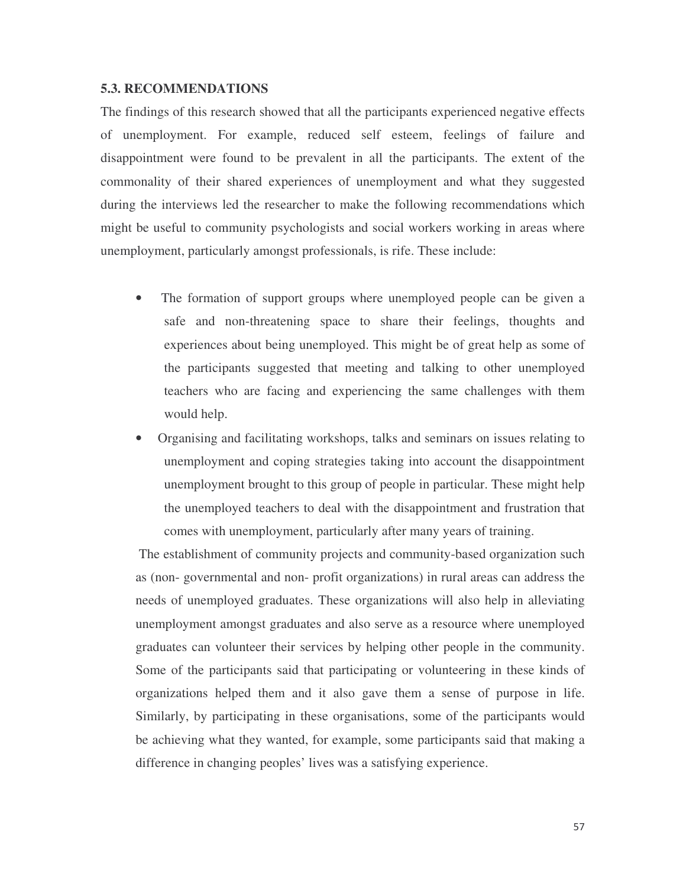### **5.3. RECOMMENDATIONS**

The findings of this research showed that all the participants experienced negative effects of unemployment. For example, reduced self esteem, feelings of failure and disappointment were found to be prevalent in all the participants. The extent of the commonality of their shared experiences of unemployment and what they suggested during the interviews led the researcher to make the following recommendations which might be useful to community psychologists and social workers working in areas where unemployment, particularly amongst professionals, is rife. These include:

- The formation of support groups where unemployed people can be given a safe and non-threatening space to share their feelings, thoughts and experiences about being unemployed. This might be of great help as some of the participants suggested that meeting and talking to other unemployed teachers who are facing and experiencing the same challenges with them would help.
- Organising and facilitating workshops, talks and seminars on issues relating to unemployment and coping strategies taking into account the disappointment unemployment brought to this group of people in particular. These might help the unemployed teachers to deal with the disappointment and frustration that comes with unemployment, particularly after many years of training.

The establishment of community projects and community-based organization such as (non- governmental and non- profit organizations) in rural areas can address the needs of unemployed graduates. These organizations will also help in alleviating unemployment amongst graduates and also serve as a resource where unemployed graduates can volunteer their services by helping other people in the community. Some of the participants said that participating or volunteering in these kinds of organizations helped them and it also gave them a sense of purpose in life. Similarly, by participating in these organisations, some of the participants would be achieving what they wanted, for example, some participants said that making a difference in changing peoples' lives was a satisfying experience.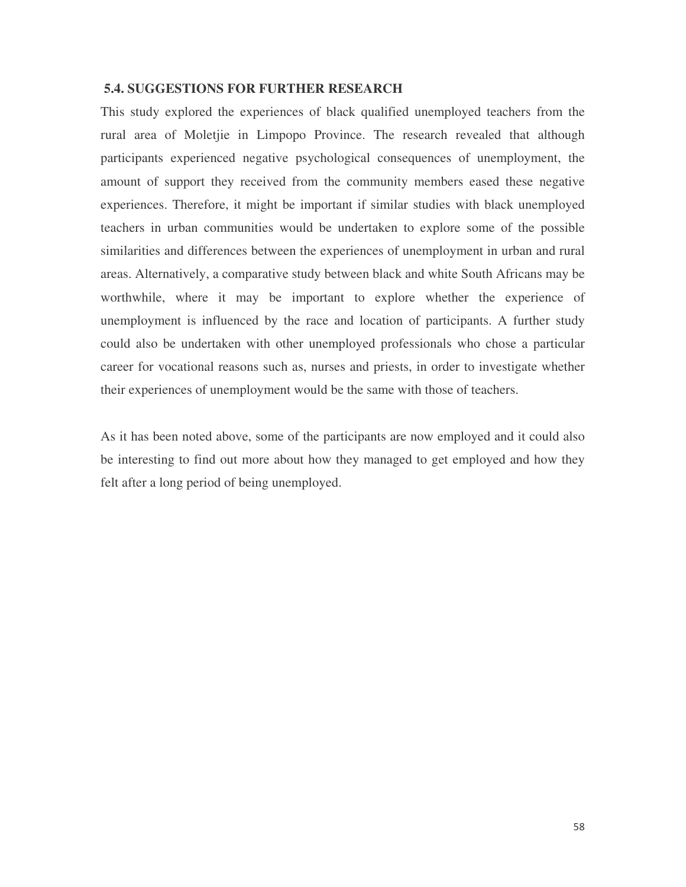# **5.4. SUGGESTIONS FOR FURTHER RESEARCH**

This study explored the experiences of black qualified unemployed teachers from the rural area of Moletjie in Limpopo Province. The research revealed that although participants experienced negative psychological consequences of unemployment, the amount of support they received from the community members eased these negative experiences. Therefore, it might be important if similar studies with black unemployed teachers in urban communities would be undertaken to explore some of the possible similarities and differences between the experiences of unemployment in urban and rural areas. Alternatively, a comparative study between black and white South Africans may be worthwhile, where it may be important to explore whether the experience of unemployment is influenced by the race and location of participants. A further study could also be undertaken with other unemployed professionals who chose a particular career for vocational reasons such as, nurses and priests, in order to investigate whether their experiences of unemployment would be the same with those of teachers.

As it has been noted above, some of the participants are now employed and it could also be interesting to find out more about how they managed to get employed and how they felt after a long period of being unemployed.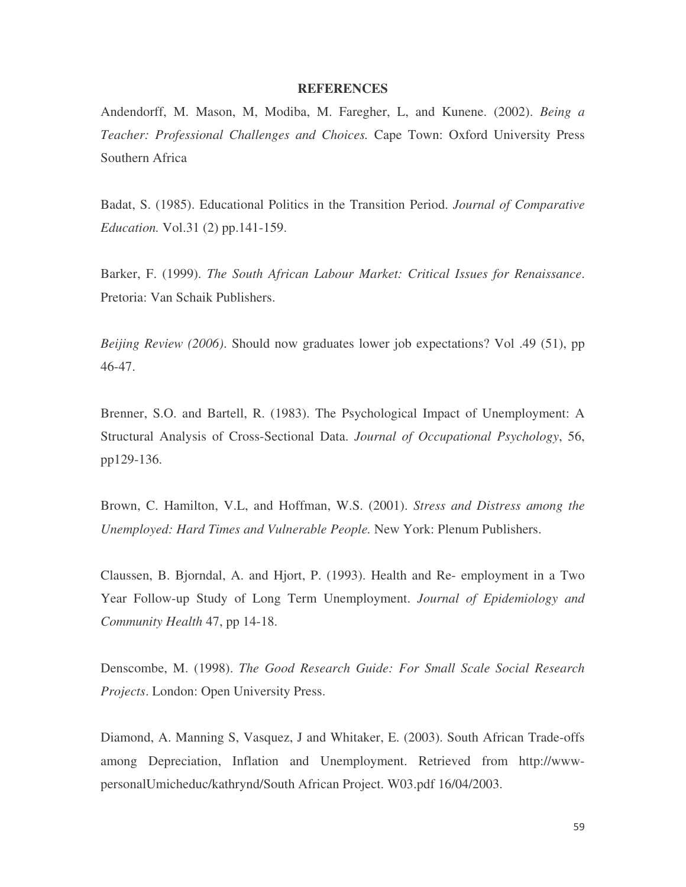#### **REFERENCES**

Andendorff, M. Mason, M, Modiba, M. Faregher, L, and Kunene. (2002). *Being a Teacher: Professional Challenges and Choices.* Cape Town: Oxford University Press Southern Africa

Badat, S. (1985). Educational Politics in the Transition Period. *Journal of Comparative Education.* Vol.31 (2) pp.141-159.

Barker, F. (1999). *The South African Labour Market: Critical Issues for Renaissance*. Pretoria: Van Schaik Publishers.

*Beijing Review (2006)*. Should now graduates lower job expectations? Vol .49 (51), pp 46-47.

Brenner, S.O. and Bartell, R. (1983). The Psychological Impact of Unemployment: A Structural Analysis of Cross-Sectional Data. *Journal of Occupational Psychology*, 56, pp129-136.

Brown, C. Hamilton, V.L, and Hoffman, W.S. (2001). *Stress and Distress among the Unemployed: Hard Times and Vulnerable People.* New York: Plenum Publishers.

Claussen, B. Bjorndal, A. and Hjort, P. (1993). Health and Re- employment in a Two Year Follow-up Study of Long Term Unemployment. *Journal of Epidemiology and Community Health* 47, pp 14-18.

Denscombe, M. (1998). *The Good Research Guide: For Small Scale Social Research Projects*. London: Open University Press.

Diamond, A. Manning S, Vasquez, J and Whitaker, E. (2003). South African Trade-offs among Depreciation, Inflation and Unemployment. Retrieved from http://wwwpersonalUmicheduc/kathrynd/South African Project. W03.pdf 16/04/2003.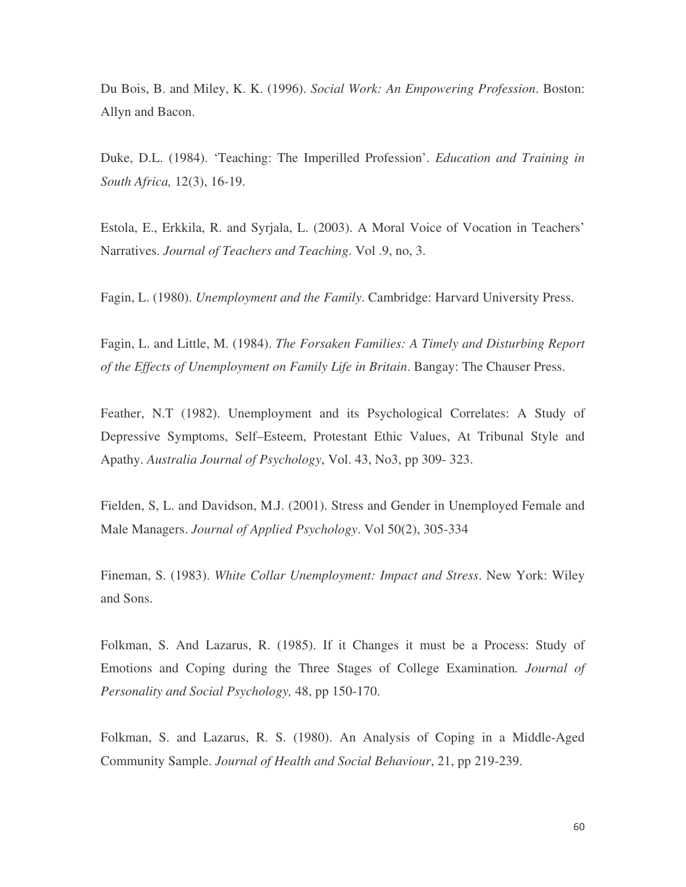Du Bois, B. and Miley, K. K. (1996). *Social Work: An Empowering Profession*. Boston: Allyn and Bacon.

Duke, D.L. (1984). 'Teaching: The Imperilled Profession'. *Education and Training in South Africa,* 12(3), 16-19.

Estola, E., Erkkila, R. and Syrjala, L. (2003). A Moral Voice of Vocation in Teachers' Narratives. *Journal of Teachers and Teaching*. Vol .9, no, 3.

Fagin, L. (1980). *Unemployment and the Family*. Cambridge: Harvard University Press.

Fagin, L. and Little, M. (1984). *The Forsaken Families: A Timely and Disturbing Report of the Effects of Unemployment on Family Life in Britain*. Bangay: The Chauser Press.

Feather, N.T (1982). Unemployment and its Psychological Correlates: A Study of Depressive Symptoms, Self–Esteem, Protestant Ethic Values, At Tribunal Style and Apathy. *Australia Journal of Psychology*, Vol. 43, No3, pp 309- 323.

Fielden, S, L. and Davidson, M.J. (2001). Stress and Gender in Unemployed Female and Male Managers. *Journal of Applied Psychology*. Vol 50(2), 305-334

Fineman, S. (1983). *White Collar Unemployment: Impact and Stress*. New York: Wiley and Sons.

Folkman, S. And Lazarus, R. (1985). If it Changes it must be a Process: Study of Emotions and Coping during the Three Stages of College Examination*. Journal of Personality and Social Psychology,* 48, pp 150-170.

Folkman, S. and Lazarus, R. S. (1980). An Analysis of Coping in a Middle-Aged Community Sample. *Journal of Health and Social Behaviour*, 21, pp 219-239.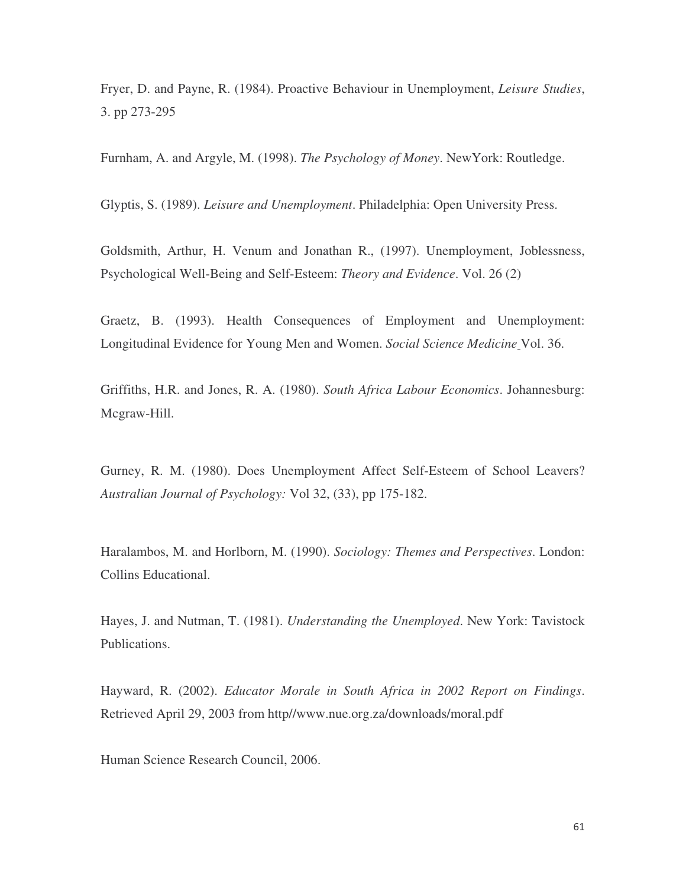Fryer, D. and Payne, R. (1984). Proactive Behaviour in Unemployment, *Leisure Studies*, 3. pp 273-295

Furnham, A. and Argyle, M. (1998). *The Psychology of Money*. NewYork: Routledge.

Glyptis, S. (1989). *Leisure and Unemployment*. Philadelphia: Open University Press.

Goldsmith, Arthur, H. Venum and Jonathan R., (1997). Unemployment, Joblessness, Psychological Well-Being and Self-Esteem: *Theory and Evidence*. Vol. 26 (2)

Graetz, B. (1993). Health Consequences of Employment and Unemployment: Longitudinal Evidence for Young Men and Women. *Social Science Medicine* Vol. 36.

Griffiths, H.R. and Jones, R. A. (1980). *South Africa Labour Economics*. Johannesburg: Mcgraw-Hill.

Gurney, R. M. (1980). Does Unemployment Affect Self-Esteem of School Leavers? *Australian Journal of Psychology:* Vol 32, (33), pp 175-182.

Haralambos, M. and Horlborn, M. (1990). *Sociology: Themes and Perspectives*. London: Collins Educational.

Hayes, J. and Nutman, T. (1981). *Understanding the Unemployed*. New York: Tavistock Publications.

Hayward, R. (2002). *Educator Morale in South Africa in 2002 Report on Findings*. Retrieved April 29, 2003 from http//www.nue.org.za/downloads/moral.pdf

Human Science Research Council, 2006.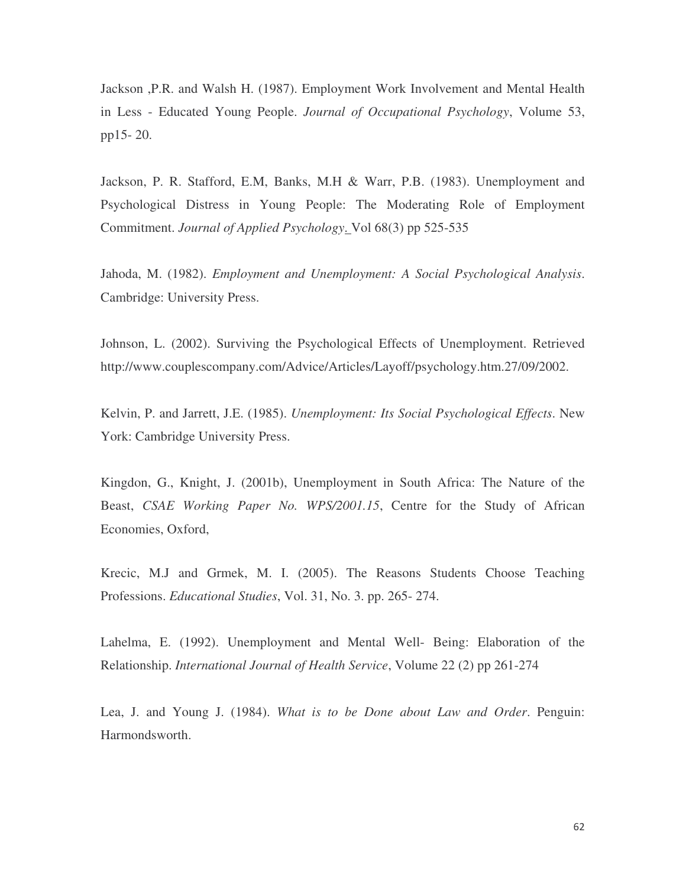Jackson ,P.R. and Walsh H. (1987). Employment Work Involvement and Mental Health in Less - Educated Young People. *Journal of Occupational Psychology*, Volume 53, pp15- 20.

Jackson, P. R. Stafford, E.M, Banks, M.H & Warr, P.B. (1983). Unemployment and Psychological Distress in Young People: The Moderating Role of Employment Commitment. *Journal of Applied Psychology*. Vol 68(3) pp 525-535

Jahoda, M. (1982). *Employment and Unemployment: A Social Psychological Analysis*. Cambridge: University Press.

Johnson, L. (2002). Surviving the Psychological Effects of Unemployment. Retrieved http://www.couplescompany.com/Advice/Articles/Layoff/psychology.htm.27/09/2002.

Kelvin, P. and Jarrett, J.E. (1985). *Unemployment: Its Social Psychological Effects*. New York: Cambridge University Press.

Kingdon, G., Knight, J. (2001b), Unemployment in South Africa: The Nature of the Beast, *CSAE Working Paper No. WPS/2001.15*, Centre for the Study of African Economies, Oxford,

Krecic, M.J and Grmek, M. I. (2005). The Reasons Students Choose Teaching Professions. *Educational Studies*, Vol. 31, No. 3. pp. 265- 274.

Lahelma, E. (1992). Unemployment and Mental Well- Being: Elaboration of the Relationship. *International Journal of Health Service*, Volume 22 (2) pp 261-274

Lea, J. and Young J. (1984). *What is to be Done about Law and Order*. Penguin: Harmondsworth.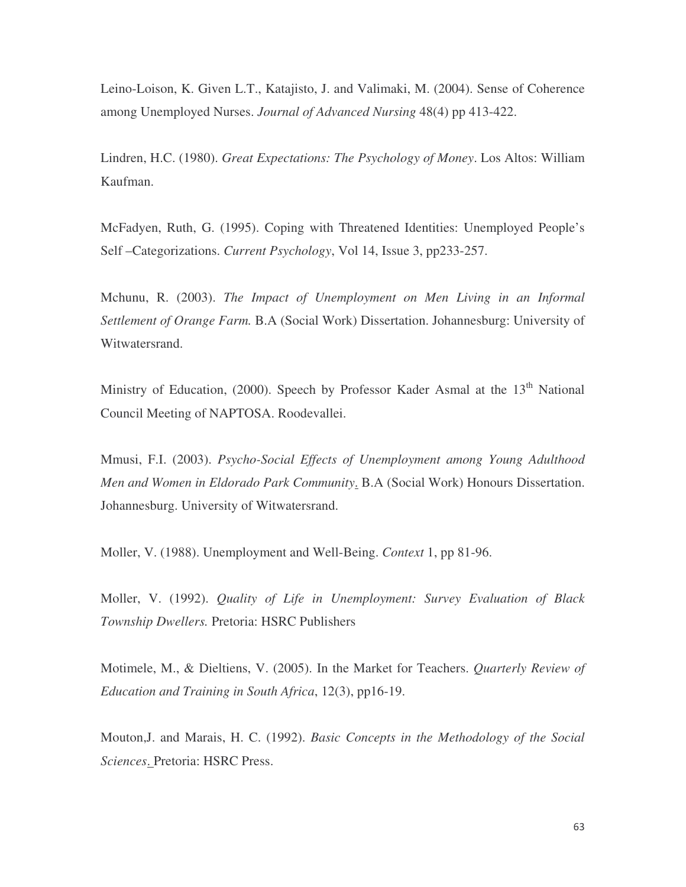Leino-Loison, K. Given L.T., Katajisto, J. and Valimaki, M. (2004). Sense of Coherence among Unemployed Nurses. *Journal of Advanced Nursing* 48(4) pp 413-422.

Lindren, H.C. (1980). *Great Expectations: The Psychology of Money*. Los Altos: William Kaufman.

McFadyen, Ruth, G. (1995). Coping with Threatened Identities: Unemployed People's Self –Categorizations. *Current Psychology*, Vol 14, Issue 3, pp233-257.

Mchunu, R. (2003). *The Impact of Unemployment on Men Living in an Informal Settlement of Orange Farm.* B.A (Social Work) Dissertation. Johannesburg: University of Witwatersrand.

Ministry of Education, (2000). Speech by Professor Kader Asmal at the 13<sup>th</sup> National Council Meeting of NAPTOSA. Roodevallei.

Mmusi, F.I. (2003). *Psycho-Social Effects of Unemployment among Young Adulthood Men and Women in Eldorado Park Community*. B.A (Social Work) Honours Dissertation. Johannesburg. University of Witwatersrand.

Moller, V. (1988). Unemployment and Well-Being. *Context* 1, pp 81-96.

Moller, V. (1992). *Quality of Life in Unemployment: Survey Evaluation of Black Township Dwellers.* Pretoria: HSRC Publishers

Motimele, M., & Dieltiens, V. (2005). In the Market for Teachers. *Quarterly Review of Education and Training in South Africa*, 12(3), pp16-19.

Mouton,J. and Marais, H. C. (1992). *Basic Concepts in the Methodology of the Social Sciences*. Pretoria: HSRC Press.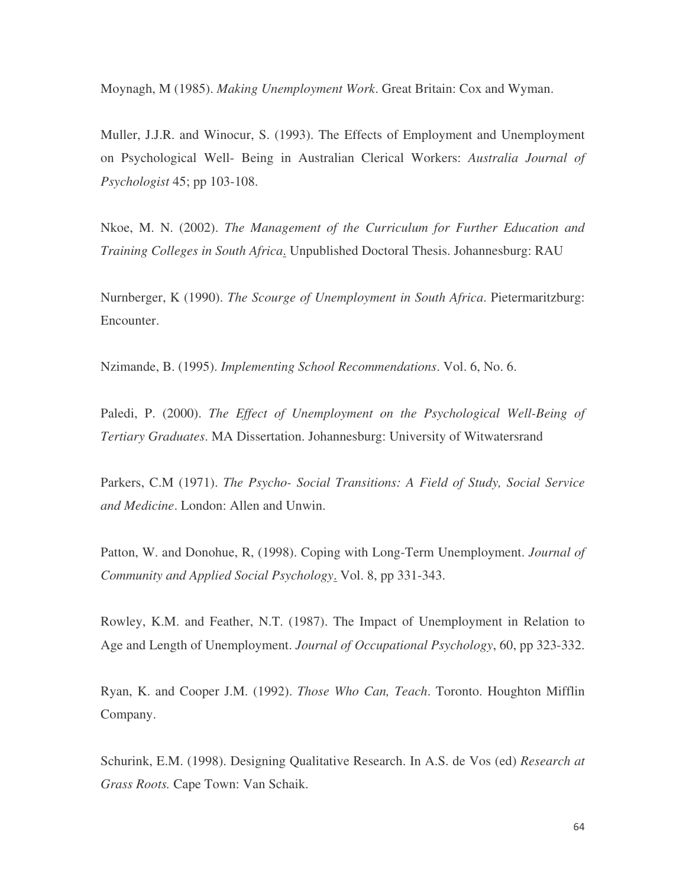Moynagh, M (1985). *Making Unemployment Work*. Great Britain: Cox and Wyman.

Muller, J.J.R. and Winocur, S. (1993). The Effects of Employment and Unemployment on Psychological Well- Being in Australian Clerical Workers: *Australia Journal of Psychologist* 45; pp 103-108.

Nkoe, M. N. (2002). *The Management of the Curriculum for Further Education and Training Colleges in South Africa*. Unpublished Doctoral Thesis. Johannesburg: RAU

Nurnberger, K (1990). *The Scourge of Unemployment in South Africa*. Pietermaritzburg: Encounter.

Nzimande, B. (1995). *Implementing School Recommendations*. Vol. 6, No. 6.

Paledi, P. (2000). *The Effect of Unemployment on the Psychological Well-Being of Tertiary Graduates*. MA Dissertation. Johannesburg: University of Witwatersrand

Parkers, C.M (1971). *The Psycho- Social Transitions: A Field of Study, Social Service and Medicine*. London: Allen and Unwin.

Patton, W. and Donohue, R, (1998). Coping with Long-Term Unemployment. *Journal of Community and Applied Social Psychology*. Vol. 8, pp 331-343.

Rowley, K.M. and Feather, N.T. (1987). The Impact of Unemployment in Relation to Age and Length of Unemployment. *Journal of Occupational Psychology*, 60, pp 323-332.

Ryan, K. and Cooper J.M. (1992). *Those Who Can, Teach*. Toronto. Houghton Mifflin Company.

Schurink, E.M. (1998). Designing Qualitative Research. In A.S. de Vos (ed) *Research at Grass Roots.* Cape Town: Van Schaik.